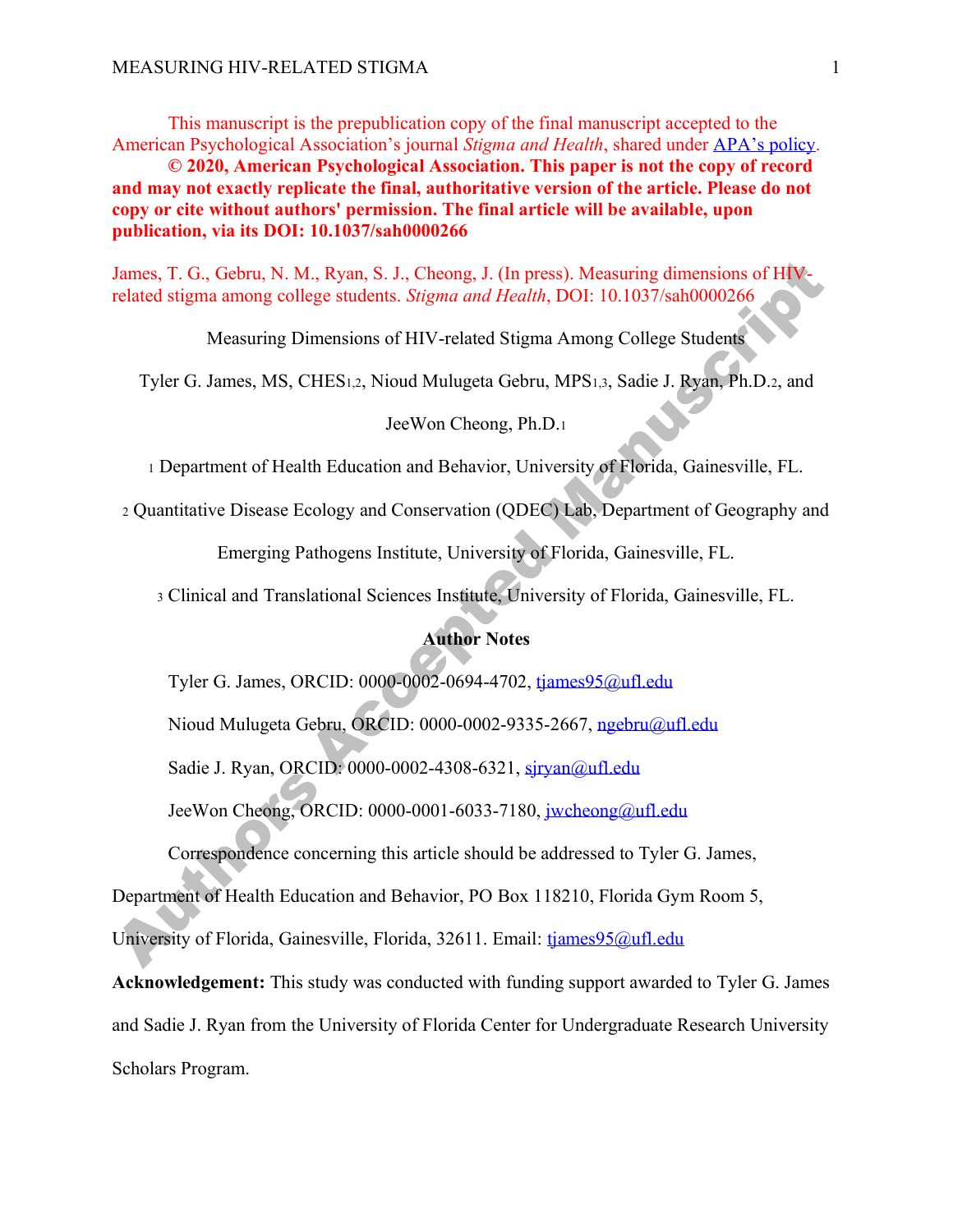This manuscript is the prepublication copy of the final manuscript accepted to the American Psychological Association's journal *Stigma and Health*, shared under APA's policy.

**© 2020, American Psychological Association. This paper is not the copy of record and may not exactly replicate the final, authoritative version of the article. Please do not copy or cite without authors' permission. The final article will be available, upon publication, via its DOI: 10.1037/sah0000266** 

James, T. G., Gebru, N. M., Ryan, S. J., Cheong, J. (In press). Measuring dimensions of HIVrelated stigma among college students. *Stigma and Health*, DOI: 10.1037/sah0000266

Measuring Dimensions of HIV-related Stigma Among College Students

Tyler G. James, MS, CHES1,2, Nioud Mulugeta Gebru, MPS1,3, Sadie J. Ryan, Ph.D.2, and

JeeWon Cheong, Ph.D.1

<sup>1</sup> Department of Health Education and Behavior, University of Florida, Gainesville, FL.

<sup>2</sup> Quantitative Disease Ecology and Conservation (QDEC) Lab, Department of Geography and

Emerging Pathogens Institute, University of Florida, Gainesville, FL.

<sup>3</sup> Clinical and Translational Sciences Institute, University of Florida, Gainesville, FL.

## **Author Notes**

Tyler G. James, ORCID: 0000-0002-0694-4702, tjames95@ufl.edu

Nioud Mulugeta Gebru, ORCID: 0000-0002-9335-2667, ngebru@ufl.edu

Sadie J. Ryan, ORCID: 0000-0002-4308-6321, sjryan@ufl.edu

JeeWon Cheong, ORCID: 0000-0001-6033-7180, jwcheong@ufl.edu

Correspondence concerning this article should be addressed to Tyler G. James,

Department of Health Education and Behavior, PO Box 118210, Florida Gym Room 5,

University of Florida, Gainesville, Florida, 32611. Email: tjames95@ufl.edu

**Acknowledgement:** This study was conducted with funding support awarded to Tyler G. James and Sadie J. Ryan from the University of Florida Center for Undergraduate Research University Scholars Program.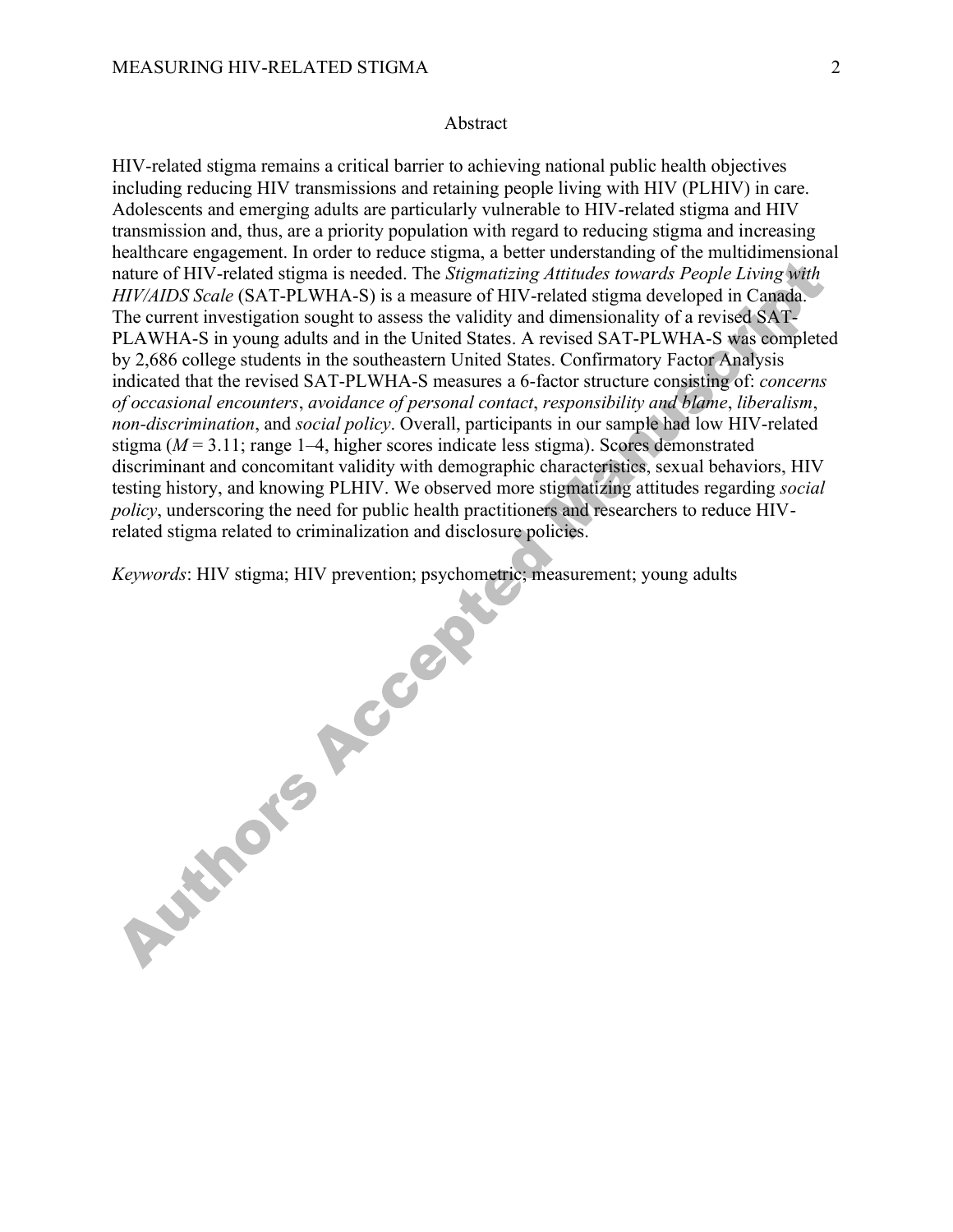## **Abstract**

HIV-related stigma remains a critical barrier to achieving national public health objectives including reducing HIV transmissions and retaining people living with HIV (PLHIV) in care. Adolescents and emerging adults are particularly vulnerable to HIV-related stigma and HIV transmission and, thus, are a priority population with regard to reducing stigma and increasing healthcare engagement. In order to reduce stigma, a better understanding of the multidimensional nature of HIV-related stigma is needed. The *Stigmatizing Attitudes towards People Living with HIV/AIDS Scale* (SAT-PLWHA-S) is a measure of HIV-related stigma developed in Canada. The current investigation sought to assess the validity and dimensionality of a revised SAT-PLAWHA-S in young adults and in the United States. A revised SAT-PLWHA-S was completed by 2,686 college students in the southeastern United States. Confirmatory Factor Analysis indicated that the revised SAT-PLWHA-S measures a 6-factor structure consisting of: *concerns of occasional encounters*, *avoidance of personal contact*, *responsibility and blame*, *liberalism*, *non-discrimination*, and *social policy*. Overall, participants in our sample had low HIV-related stigma (*M* = 3.11; range 1–4, higher scores indicate less stigma). Scores demonstrated discriminant and concomitant validity with demographic characteristics, sexual behaviors, HIV testing history, and knowing PLHIV. We observed more stigmatizing attitudes regarding *social policy*, underscoring the need for public health practitioners and researchers to reduce HIVrelated stigma related to criminalization and disclosure policies.

*Keywords*: HIV stigma; HIV prevention; psychometric; measurement; young adults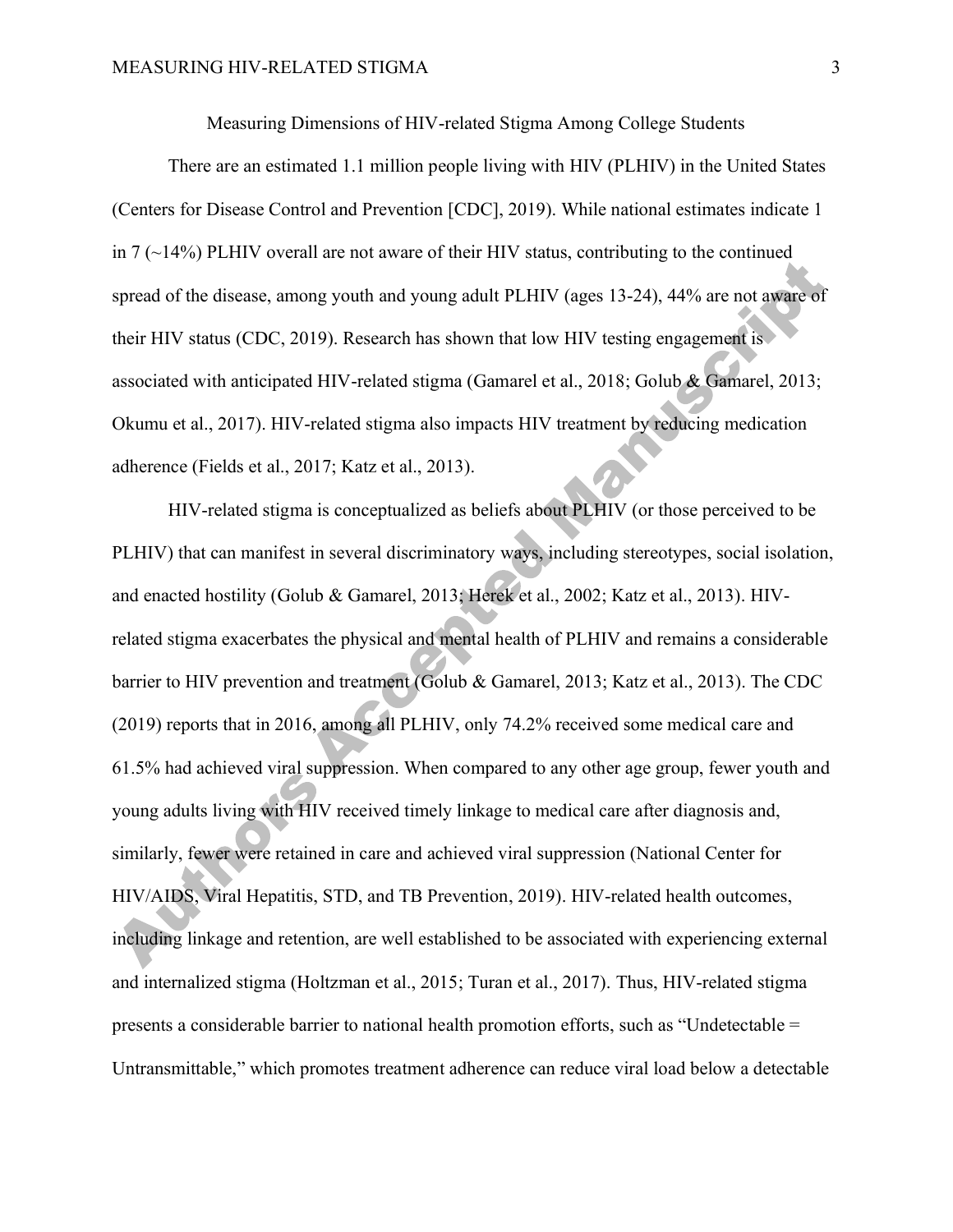Measuring Dimensions of HIV-related Stigma Among College Students

There are an estimated 1.1 million people living with HIV (PLHIV) in the United States (Centers for Disease Control and Prevention [CDC], 2019). While national estimates indicate 1 in  $7 \left( \sim 14\% \right)$  PLHIV overall are not aware of their HIV status, contributing to the continued spread of the disease, among youth and young adult PLHIV (ages 13-24), 44% are not aware of their HIV status (CDC, 2019). Research has shown that low HIV testing engagement is associated with anticipated HIV-related stigma (Gamarel et al., 2018; Golub & Gamarel, 2013; Okumu et al., 2017). HIV-related stigma also impacts HIV treatment by reducing medication adherence (Fields et al., 2017; Katz et al., 2013).

HIV-related stigma is conceptualized as beliefs about PLHIV (or those perceived to be PLHIV) that can manifest in several discriminatory ways, including stereotypes, social isolation, and enacted hostility (Golub & Gamarel, 2013; Herek et al., 2002; Katz et al., 2013). HIVrelated stigma exacerbates the physical and mental health of PLHIV and remains a considerable barrier to HIV prevention and treatment (Golub & Gamarel, 2013; Katz et al., 2013). The CDC (2019) reports that in 2016, among all PLHIV, only 74.2% received some medical care and 61.5% had achieved viral suppression. When compared to any other age group, fewer youth and young adults living with HIV received timely linkage to medical care after diagnosis and, similarly, fewer were retained in care and achieved viral suppression (National Center for HIV/AIDS, Viral Hepatitis, STD, and TB Prevention, 2019). HIV-related health outcomes, including linkage and retention, are well established to be associated with experiencing external and internalized stigma (Holtzman et al., 2015; Turan et al., 2017). Thus, HIV-related stigma presents a considerable barrier to national health promotion efforts, such as "Undetectable = Untransmittable," which promotes treatment adherence can reduce viral load below a detectable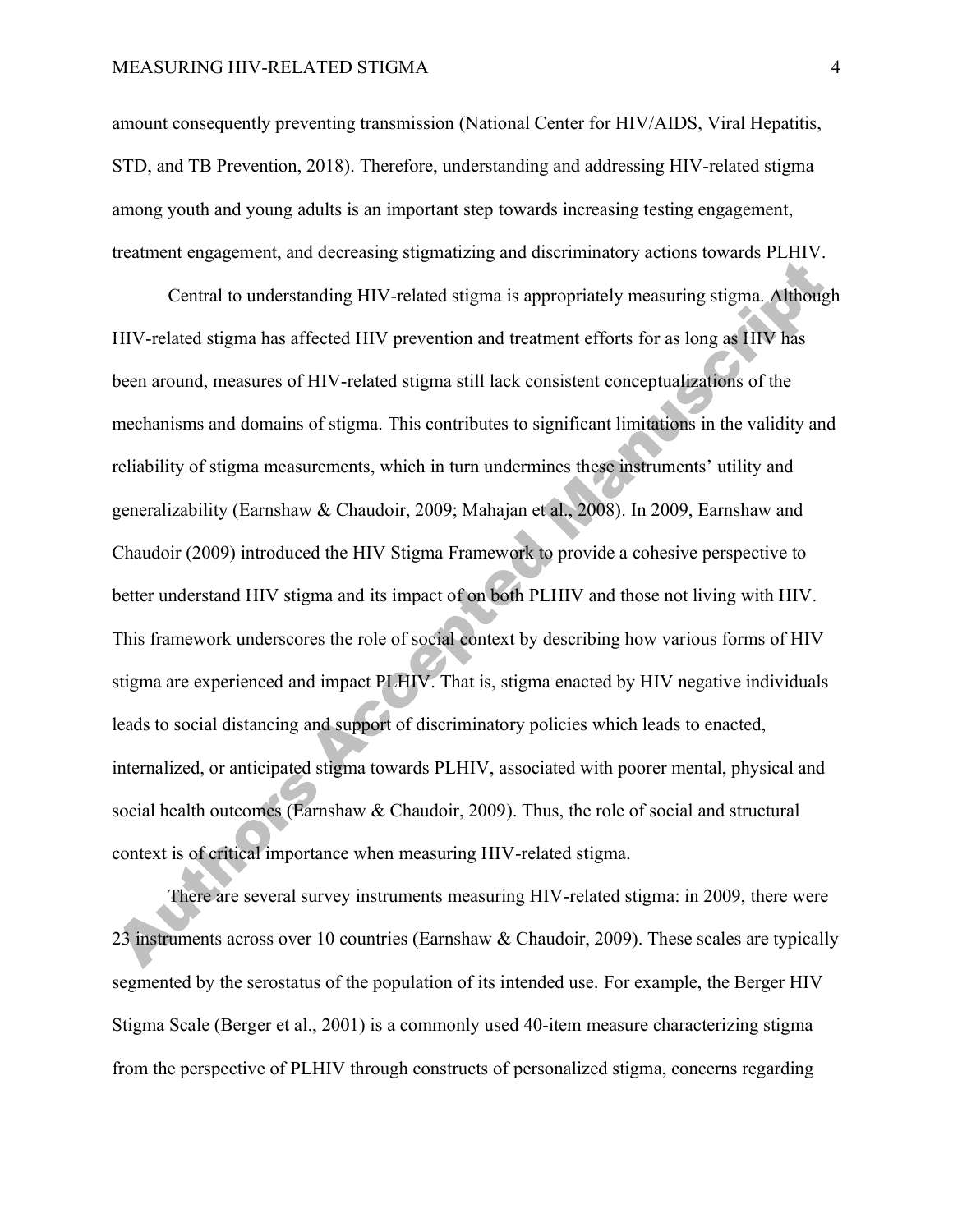amount consequently preventing transmission (National Center for HIV/AIDS, Viral Hepatitis, STD, and TB Prevention, 2018). Therefore, understanding and addressing HIV-related stigma among youth and young adults is an important step towards increasing testing engagement, treatment engagement, and decreasing stigmatizing and discriminatory actions towards PLHIV.

Central to understanding HIV-related stigma is appropriately measuring stigma. Although HIV-related stigma has affected HIV prevention and treatment efforts for as long as HIV has been around, measures of HIV-related stigma still lack consistent conceptualizations of the mechanisms and domains of stigma. This contributes to significant limitations in the validity and reliability of stigma measurements, which in turn undermines these instruments' utility and generalizability (Earnshaw & Chaudoir, 2009; Mahajan et al., 2008). In 2009, Earnshaw and Chaudoir (2009) introduced the HIV Stigma Framework to provide a cohesive perspective to better understand HIV stigma and its impact of on both PLHIV and those not living with HIV. This framework underscores the role of social context by describing how various forms of HIV stigma are experienced and impact PLHIV. That is, stigma enacted by HIV negative individuals leads to social distancing and support of discriminatory policies which leads to enacted, internalized, or anticipated stigma towards PLHIV, associated with poorer mental, physical and social health outcomes (Earnshaw & Chaudoir, 2009). Thus, the role of social and structural context is of critical importance when measuring HIV-related stigma.

There are several survey instruments measuring HIV-related stigma: in 2009, there were 23 instruments across over 10 countries (Earnshaw & Chaudoir, 2009). These scales are typically segmented by the serostatus of the population of its intended use. For example, the Berger HIV Stigma Scale (Berger et al., 2001) is a commonly used 40-item measure characterizing stigma from the perspective of PLHIV through constructs of personalized stigma, concerns regarding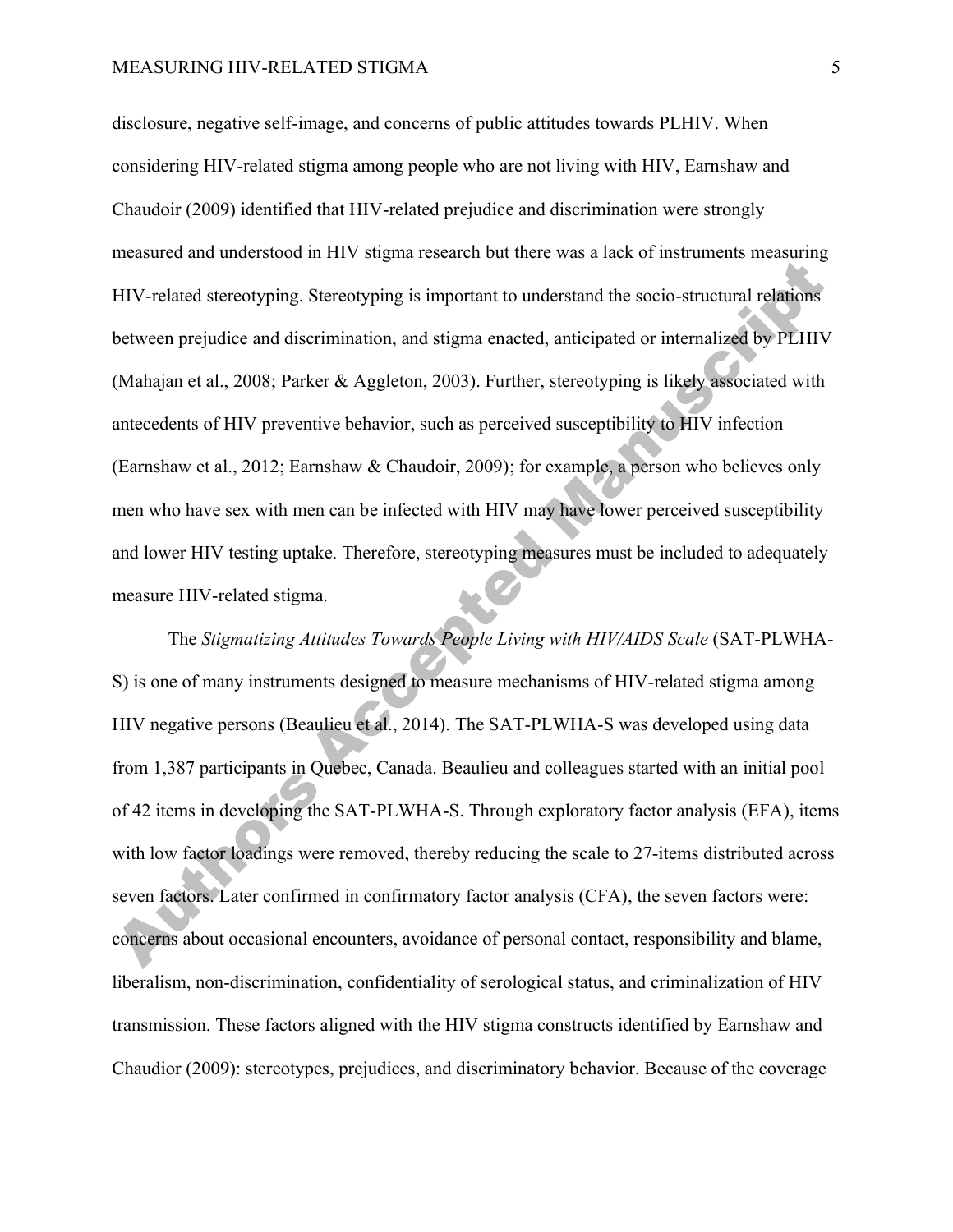disclosure, negative self-image, and concerns of public attitudes towards PLHIV. When considering HIV-related stigma among people who are not living with HIV, Earnshaw and Chaudoir (2009) identified that HIV-related prejudice and discrimination were strongly measured and understood in HIV stigma research but there was a lack of instruments measuring HIV-related stereotyping. Stereotyping is important to understand the socio-structural relations between prejudice and discrimination, and stigma enacted, anticipated or internalized by PLHIV (Mahajan et al., 2008; Parker & Aggleton, 2003). Further, stereotyping is likely associated with antecedents of HIV preventive behavior, such as perceived susceptibility to HIV infection (Earnshaw et al., 2012; Earnshaw & Chaudoir, 2009); for example, a person who believes only men who have sex with men can be infected with HIV may have lower perceived susceptibility and lower HIV testing uptake. Therefore, stereotyping measures must be included to adequately measure HIV-related stigma.

The *Stigmatizing Attitudes Towards People Living with HIV/AIDS Scale* (SAT-PLWHA-S) is one of many instruments designed to measure mechanisms of HIV-related stigma among HIV negative persons (Beaulieu et al., 2014). The SAT-PLWHA-S was developed using data from 1,387 participants in Quebec, Canada. Beaulieu and colleagues started with an initial pool of 42 items in developing the SAT-PLWHA-S. Through exploratory factor analysis (EFA), items with low factor loadings were removed, thereby reducing the scale to 27-items distributed across seven factors. Later confirmed in confirmatory factor analysis (CFA), the seven factors were: concerns about occasional encounters, avoidance of personal contact, responsibility and blame, liberalism, non-discrimination, confidentiality of serological status, and criminalization of HIV transmission. These factors aligned with the HIV stigma constructs identified by Earnshaw and Chaudior (2009): stereotypes, prejudices, and discriminatory behavior. Because of the coverage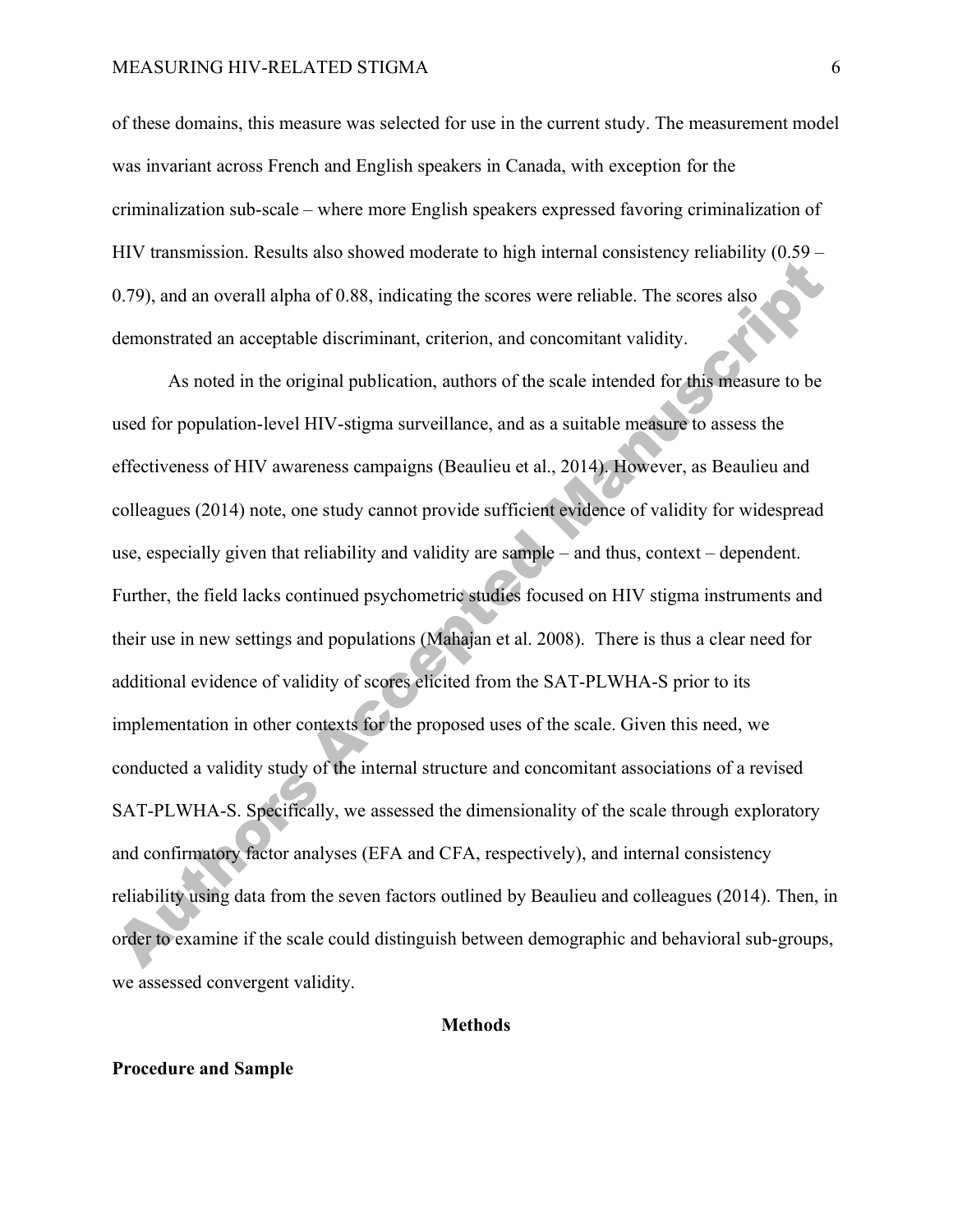## MEASURING HIV-RELATED STIGMA 6

of these domains, this measure was selected for use in the current study. The measurement model was invariant across French and English speakers in Canada, with exception for the criminalization sub-scale – where more English speakers expressed favoring criminalization of HIV transmission. Results also showed moderate to high internal consistency reliability (0.59 – 0.79), and an overall alpha of 0.88, indicating the scores were reliable. The scores also demonstrated an acceptable discriminant, criterion, and concomitant validity.

As noted in the original publication, authors of the scale intended for this measure to be used for population-level HIV-stigma surveillance, and as a suitable measure to assess the effectiveness of HIV awareness campaigns (Beaulieu et al., 2014). However, as Beaulieu and colleagues (2014) note, one study cannot provide sufficient evidence of validity for widespread use, especially given that reliability and validity are sample – and thus, context – dependent. Further, the field lacks continued psychometric studies focused on HIV stigma instruments and their use in new settings and populations (Mahajan et al. 2008). There is thus a clear need for additional evidence of validity of scores elicited from the SAT-PLWHA-S prior to its implementation in other contexts for the proposed uses of the scale. Given this need, we conducted a validity study of the internal structure and concomitant associations of a revised SAT-PLWHA-S. Specifically, we assessed the dimensionality of the scale through exploratory and confirmatory factor analyses (EFA and CFA, respectively), and internal consistency reliability using data from the seven factors outlined by Beaulieu and colleagues (2014). Then, in order to examine if the scale could distinguish between demographic and behavioral sub-groups, we assessed convergent validity.

# **Methods**

#### **Procedure and Sample**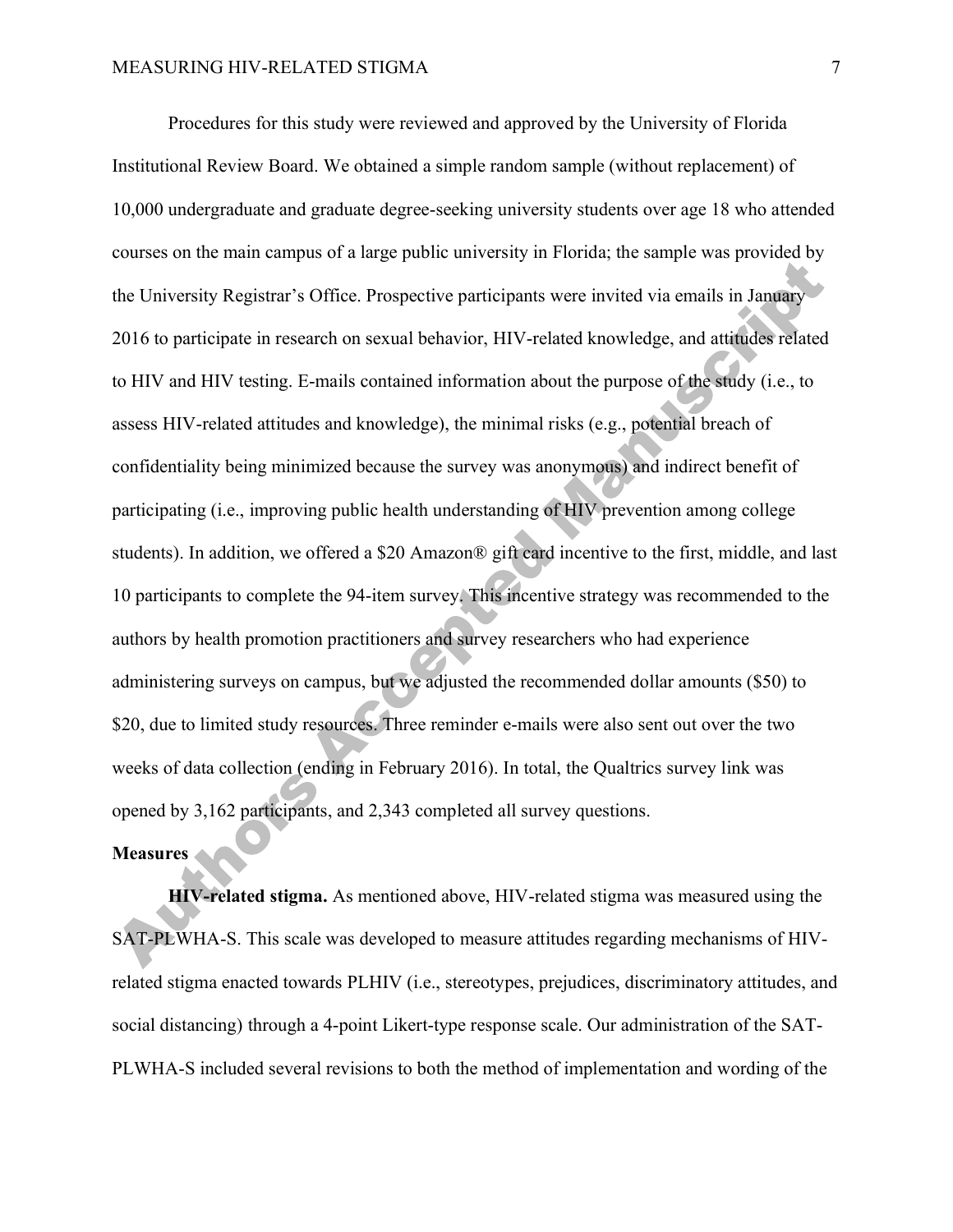Procedures for this study were reviewed and approved by the University of Florida Institutional Review Board. We obtained a simple random sample (without replacement) of 10,000 undergraduate and graduate degree-seeking university students over age 18 who attended courses on the main campus of a large public university in Florida; the sample was provided by the University Registrar's Office. Prospective participants were invited via emails in January 2016 to participate in research on sexual behavior, HIV-related knowledge, and attitudes related to HIV and HIV testing. E-mails contained information about the purpose of the study (i.e., to assess HIV-related attitudes and knowledge), the minimal risks (e.g., potential breach of confidentiality being minimized because the survey was anonymous) and indirect benefit of participating (i.e., improving public health understanding of HIV prevention among college students). In addition, we offered a \$20 Amazon® gift card incentive to the first, middle, and last 10 participants to complete the 94-item survey. This incentive strategy was recommended to the authors by health promotion practitioners and survey researchers who had experience administering surveys on campus, but we adjusted the recommended dollar amounts (\$50) to \$20, due to limited study resources. Three reminder e-mails were also sent out over the two weeks of data collection (ending in February 2016). In total, the Qualtrics survey link was opened by 3,162 participants, and 2,343 completed all survey questions.

# **Measures**

**HIV-related stigma.** As mentioned above, HIV-related stigma was measured using the SAT-PLWHA-S. This scale was developed to measure attitudes regarding mechanisms of HIVrelated stigma enacted towards PLHIV (i.e., stereotypes, prejudices, discriminatory attitudes, and social distancing) through a 4-point Likert-type response scale. Our administration of the SAT-PLWHA-S included several revisions to both the method of implementation and wording of the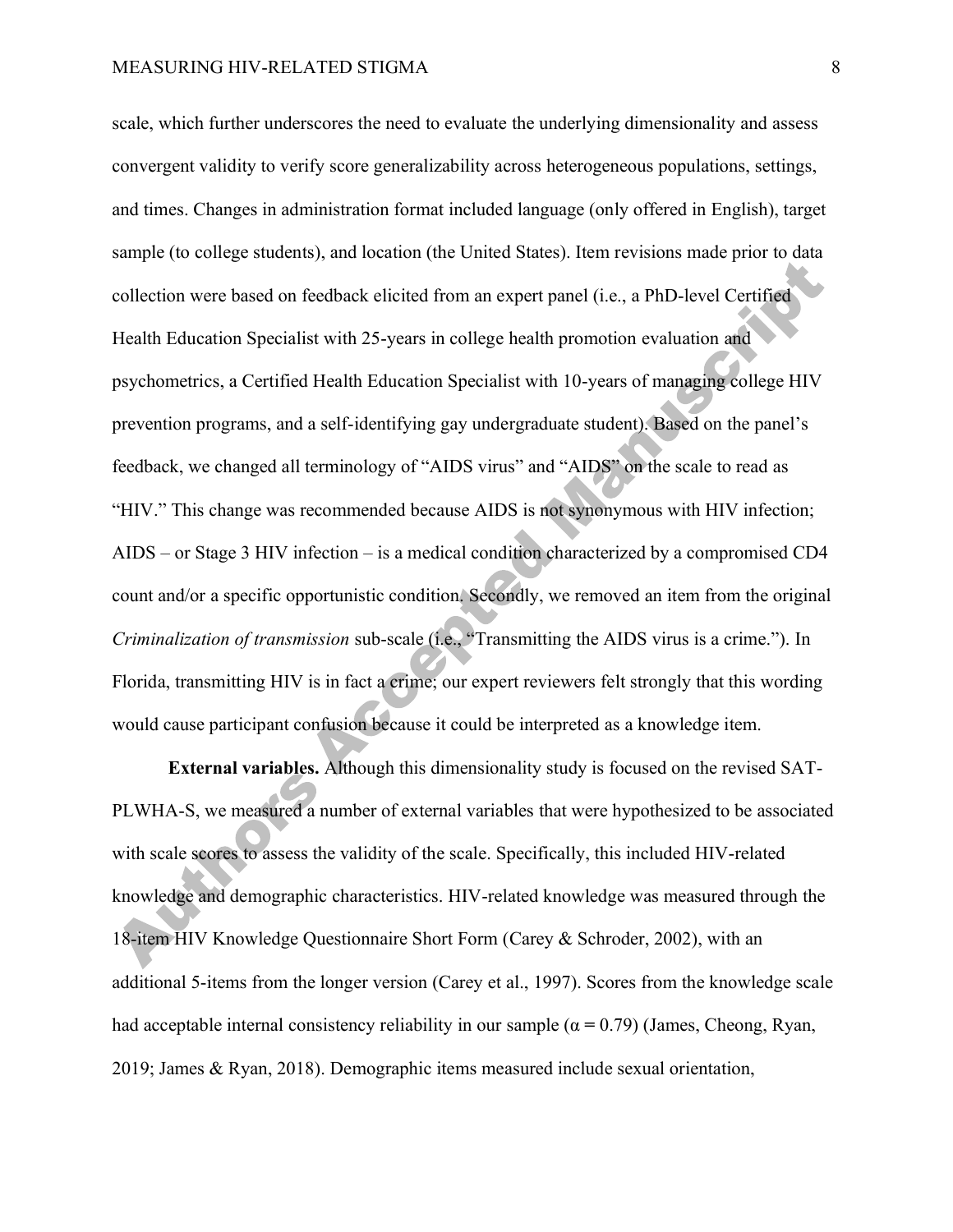scale, which further underscores the need to evaluate the underlying dimensionality and assess convergent validity to verify score generalizability across heterogeneous populations, settings, and times. Changes in administration format included language (only offered in English), target sample (to college students), and location (the United States). Item revisions made prior to data collection were based on feedback elicited from an expert panel (i.e., a PhD-level Certified Health Education Specialist with 25-years in college health promotion evaluation and psychometrics, a Certified Health Education Specialist with 10-years of managing college HIV prevention programs, and a self-identifying gay undergraduate student). Based on the panel's feedback, we changed all terminology of "AIDS virus" and "AIDS" on the scale to read as "HIV." This change was recommended because AIDS is not synonymous with HIV infection; AIDS – or Stage 3 HIV infection – is a medical condition characterized by a compromised CD4 count and/or a specific opportunistic condition. Secondly, we removed an item from the original *Criminalization of transmission* sub-scale (i.e., "Transmitting the AIDS virus is a crime."). In Florida, transmitting HIV is in fact a crime; our expert reviewers felt strongly that this wording would cause participant confusion because it could be interpreted as a knowledge item.

**External variables.** Although this dimensionality study is focused on the revised SAT-PLWHA-S, we measured a number of external variables that were hypothesized to be associated with scale scores to assess the validity of the scale. Specifically, this included HIV-related knowledge and demographic characteristics. HIV-related knowledge was measured through the 18-item HIV Knowledge Questionnaire Short Form (Carey & Schroder, 2002), with an additional 5-items from the longer version (Carey et al., 1997). Scores from the knowledge scale had acceptable internal consistency reliability in our sample (α **=** 0.79) (James, Cheong, Ryan, 2019; James & Ryan, 2018). Demographic items measured include sexual orientation,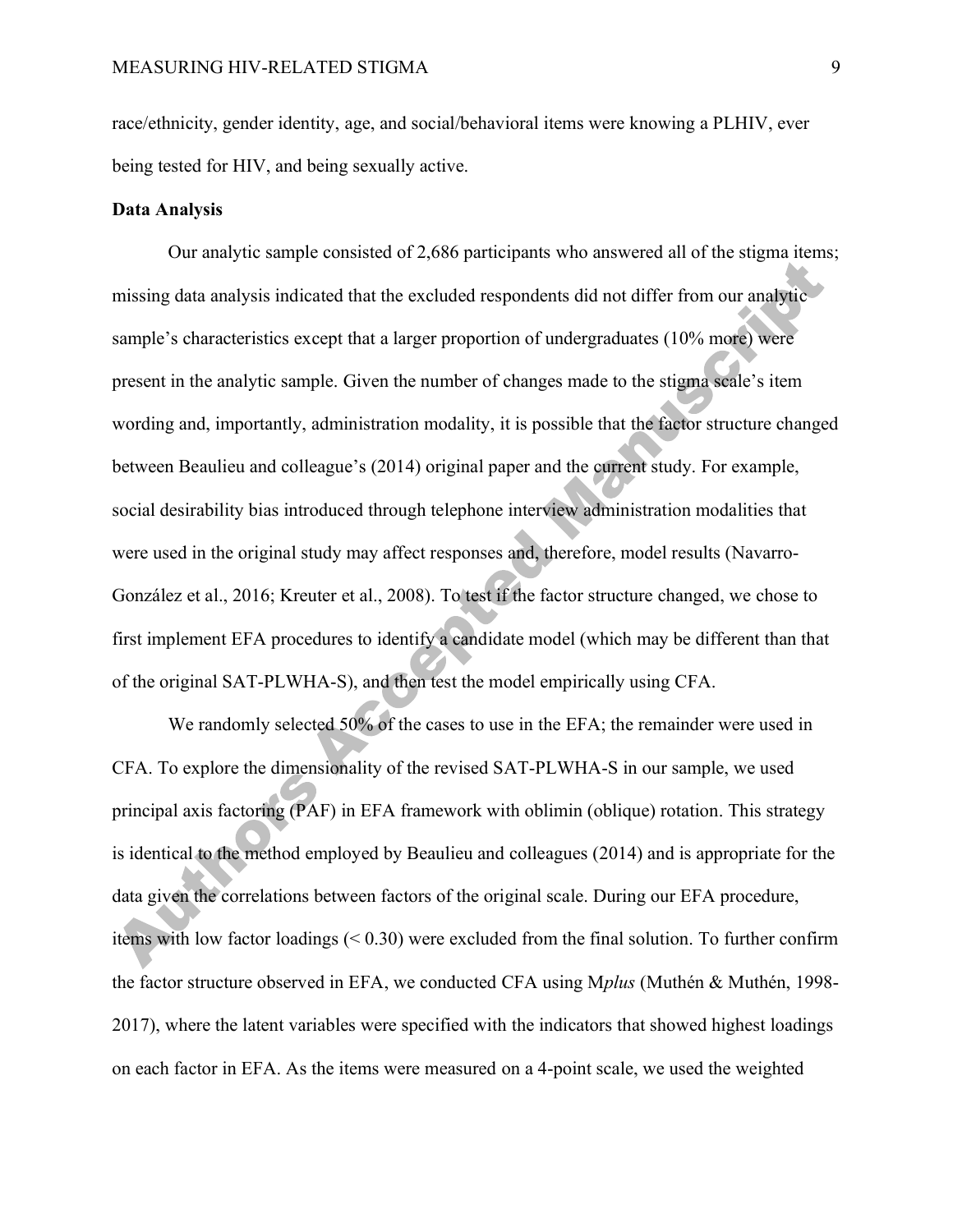race/ethnicity, gender identity, age, and social/behavioral items were knowing a PLHIV, ever being tested for HIV, and being sexually active.

## **Data Analysis**

Our analytic sample consisted of 2,686 participants who answered all of the stigma items; missing data analysis indicated that the excluded respondents did not differ from our analytic sample's characteristics except that a larger proportion of undergraduates (10% more) were present in the analytic sample. Given the number of changes made to the stigma scale's item wording and, importantly, administration modality, it is possible that the factor structure changed between Beaulieu and colleague's (2014) original paper and the current study. For example, social desirability bias introduced through telephone interview administration modalities that were used in the original study may affect responses and, therefore, model results (Navarro-González et al., 2016; Kreuter et al., 2008). To test if the factor structure changed, we chose to first implement EFA procedures to identify a candidate model (which may be different than that of the original SAT-PLWHA-S), and then test the model empirically using CFA.

We randomly selected 50% of the cases to use in the EFA; the remainder were used in CFA. To explore the dimensionality of the revised SAT-PLWHA-S in our sample, we used principal axis factoring (PAF) in EFA framework with oblimin (oblique) rotation. This strategy is identical to the method employed by Beaulieu and colleagues (2014) and is appropriate for the data given the correlations between factors of the original scale. During our EFA procedure, items with low factor loadings (< 0.30) were excluded from the final solution. To further confirm the factor structure observed in EFA, we conducted CFA using M*plus* (Muthén & Muthén, 1998- 2017), where the latent variables were specified with the indicators that showed highest loadings on each factor in EFA. As the items were measured on a 4-point scale, we used the weighted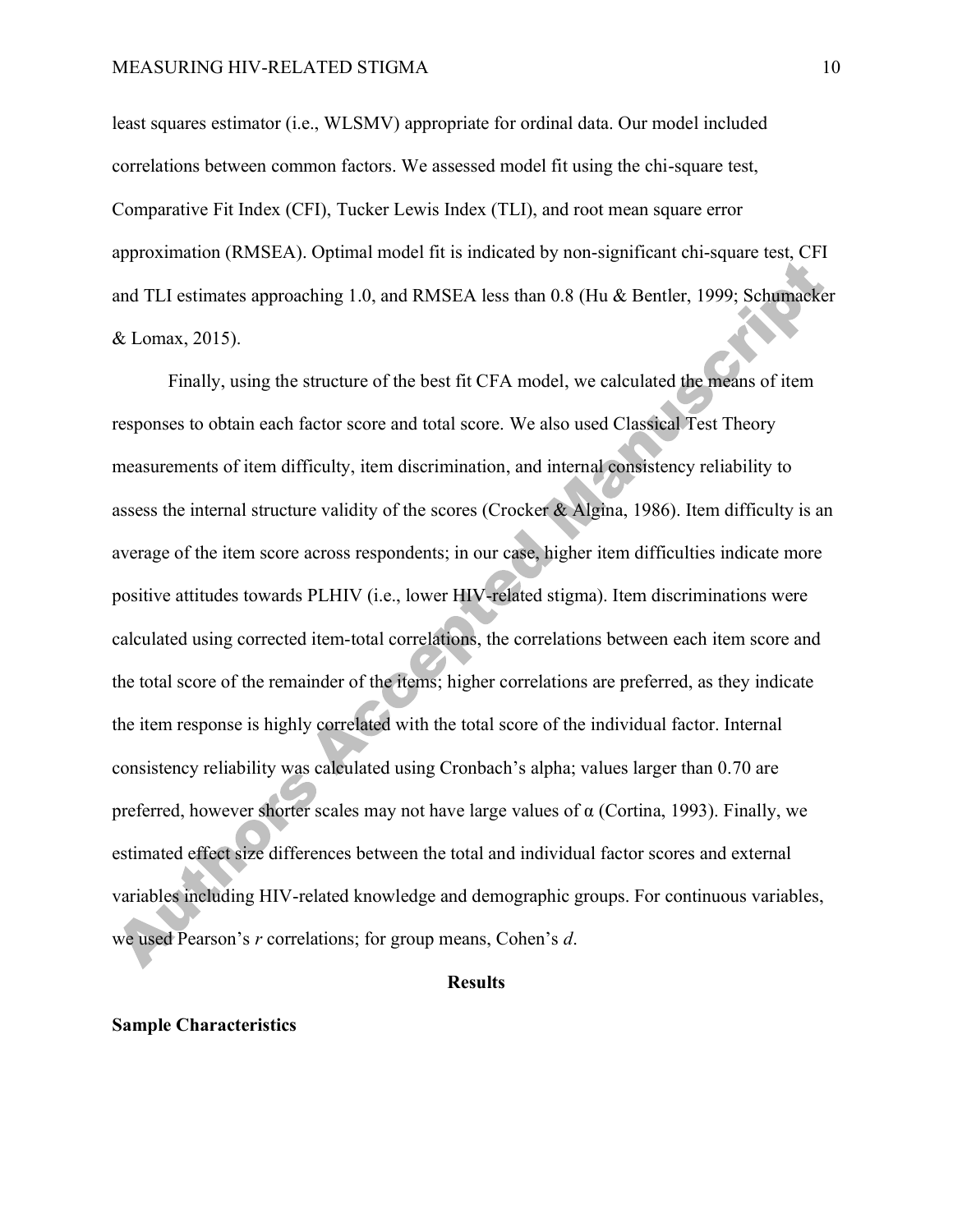least squares estimator (i.e., WLSMV) appropriate for ordinal data. Our model included correlations between common factors. We assessed model fit using the chi-square test, Comparative Fit Index (CFI), Tucker Lewis Index (TLI), and root mean square error approximation (RMSEA). Optimal model fit is indicated by non-significant chi-square test, CFI and TLI estimates approaching 1.0, and RMSEA less than 0.8 (Hu & Bentler, 1999; Schumacker & Lomax, 2015).

Finally, using the structure of the best fit CFA model, we calculated the means of item responses to obtain each factor score and total score. We also used Classical Test Theory measurements of item difficulty, item discrimination, and internal consistency reliability to assess the internal structure validity of the scores (Crocker & Algina, 1986). Item difficulty is an average of the item score across respondents; in our case, higher item difficulties indicate more positive attitudes towards PLHIV (i.e., lower HIV-related stigma). Item discriminations were calculated using corrected item-total correlations, the correlations between each item score and the total score of the remainder of the items; higher correlations are preferred, as they indicate the item response is highly correlated with the total score of the individual factor. Internal consistency reliability was calculated using Cronbach's alpha; values larger than 0.70 are preferred, however shorter scales may not have large values of  $\alpha$  (Cortina, 1993). Finally, we estimated effect size differences between the total and individual factor scores and external variables including HIV-related knowledge and demographic groups. For continuous variables, we used Pearson's *r* correlations; for group means, Cohen's *d*.

#### **Results**

#### **Sample Characteristics**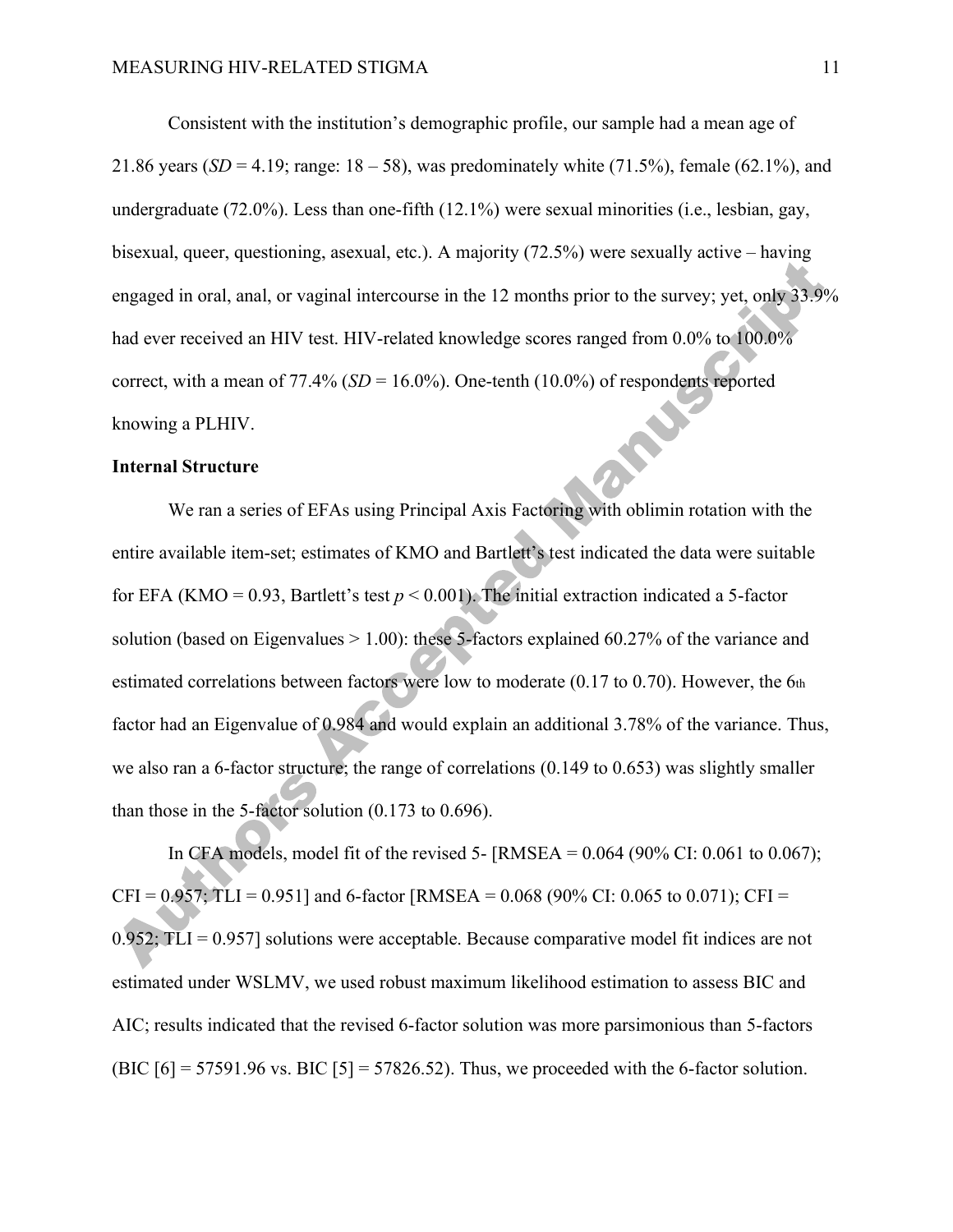Consistent with the institution's demographic profile, our sample had a mean age of 21.86 years (*SD* = 4.19; range:  $18 - 58$ ), was predominately white (71.5%), female (62.1%), and undergraduate (72.0%). Less than one-fifth (12.1%) were sexual minorities (i.e., lesbian, gay, bisexual, queer, questioning, asexual, etc.). A majority (72.5%) were sexually active – having engaged in oral, anal, or vaginal intercourse in the 12 months prior to the survey; yet, only 33.9% had ever received an HIV test. HIV-related knowledge scores ranged from 0.0% to 100.0% correct, with a mean of 77.4% (*SD* = 16.0%). One-tenth (10.0%) of respondents reported<br>knowing a PLHIV.<br>**Internal Structure** knowing a PLHIV.

## **Internal Structure**

We ran a series of EFAs using Principal Axis Factoring with oblimin rotation with the entire available item-set; estimates of KMO and Bartlett's test indicated the data were suitable for EFA (KMO =  $0.93$ , Bartlett's test  $p < 0.001$ ). The initial extraction indicated a 5-factor solution (based on Eigenvalues  $> 1.00$ ): these 5-factors explained 60.27% of the variance and estimated correlations between factors were low to moderate (0.17 to 0.70). However, the 6th factor had an Eigenvalue of 0.984 and would explain an additional 3.78% of the variance. Thus, we also ran a 6-factor structure; the range of correlations (0.149 to 0.653) was slightly smaller than those in the 5-factor solution (0.173 to 0.696).

In CFA models, model fit of the revised 5-  $\text{RMSEA} = 0.064$  (90% CI: 0.061 to 0.067);  $CFI = 0.957$ ; TLI = 0.951] and 6-factor [RMSEA = 0.068 (90% CI: 0.065 to 0.071); CFI =  $0.952$ ; TLI = 0.957] solutions were acceptable. Because comparative model fit indices are not estimated under WSLMV, we used robust maximum likelihood estimation to assess BIC and AIC; results indicated that the revised 6-factor solution was more parsimonious than 5-factors (BIC  $[6] = 57591.96$  vs. BIC  $[5] = 57826.52$ ). Thus, we proceeded with the 6-factor solution.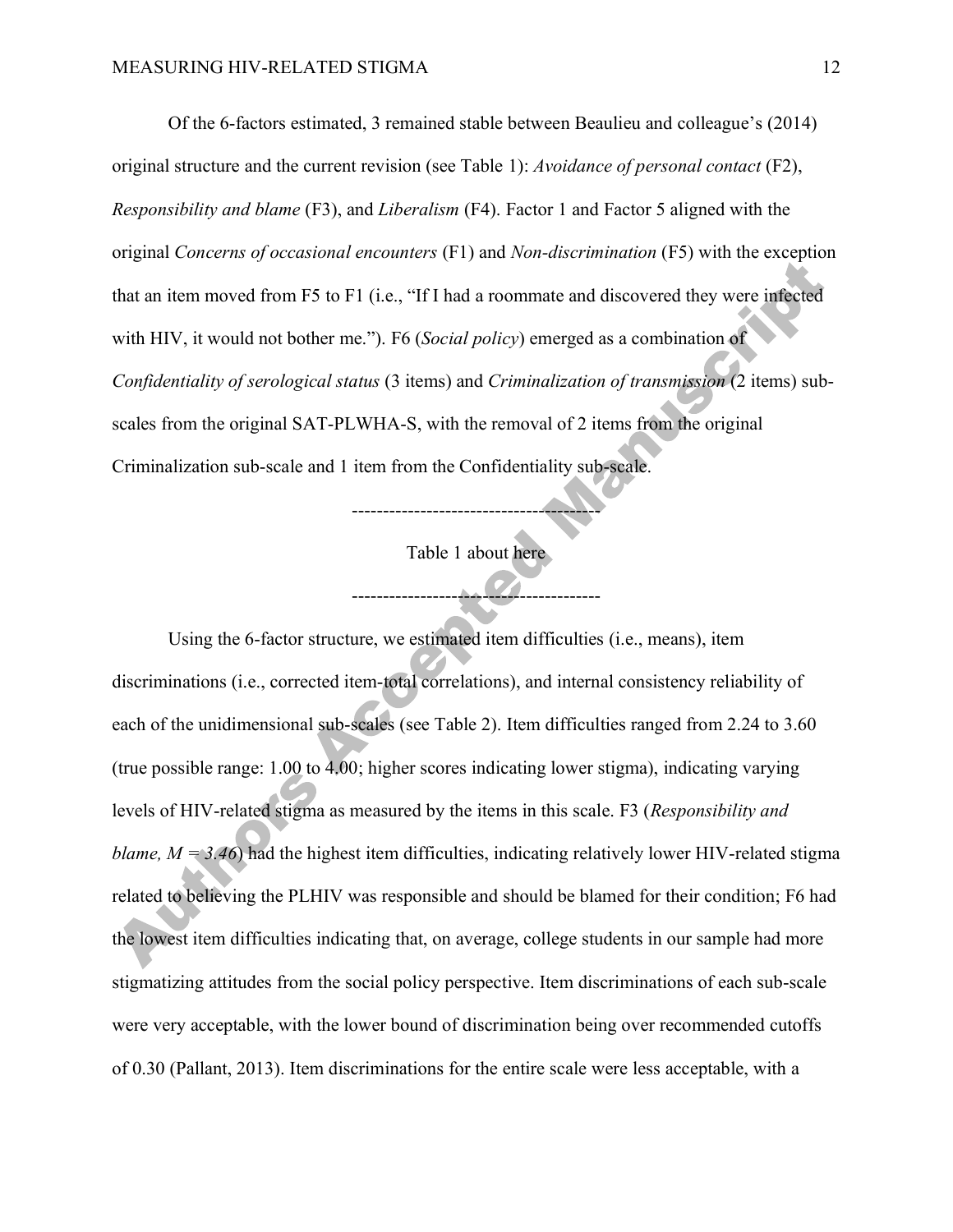Of the 6-factors estimated, 3 remained stable between Beaulieu and colleague's (2014) original structure and the current revision (see Table 1): *Avoidance of personal contact* (F2), *Responsibility and blame* (F3), and *Liberalism* (F4). Factor 1 and Factor 5 aligned with the original *Concerns of occasional encounters* (F1) and *Non-discrimination* (F5) with the exception that an item moved from F5 to F1 (i.e., "If I had a roommate and discovered they were infected with HIV, it would not bother me."). F6 (*Social policy*) emerged as a combination of *Confidentiality of serological status* (3 items) and *Criminalization of transmission* (2 items) subscales from the original SAT-PLWHA-S, with the removal of 2 items from the original Criminalization sub-scale and 1 item from the Confidentiality sub-scale.

> Table 1 about here ----------------------------------------

> ----------------------------------------

Using the 6-factor structure, we estimated item difficulties (i.e., means), item discriminations (i.e., corrected item-total correlations), and internal consistency reliability of each of the unidimensional sub-scales (see Table 2). Item difficulties ranged from 2.24 to 3.60 (true possible range: 1.00 to 4.00; higher scores indicating lower stigma), indicating varying levels of HIV-related stigma as measured by the items in this scale. F3 (*Responsibility and blame,*  $M = 3.46$ ) had the highest item difficulties, indicating relatively lower HIV-related stigma related to believing the PLHIV was responsible and should be blamed for their condition; F6 had the lowest item difficulties indicating that, on average, college students in our sample had more stigmatizing attitudes from the social policy perspective. Item discriminations of each sub-scale were very acceptable, with the lower bound of discrimination being over recommended cutoffs of 0.30 (Pallant, 2013). Item discriminations for the entire scale were less acceptable, with a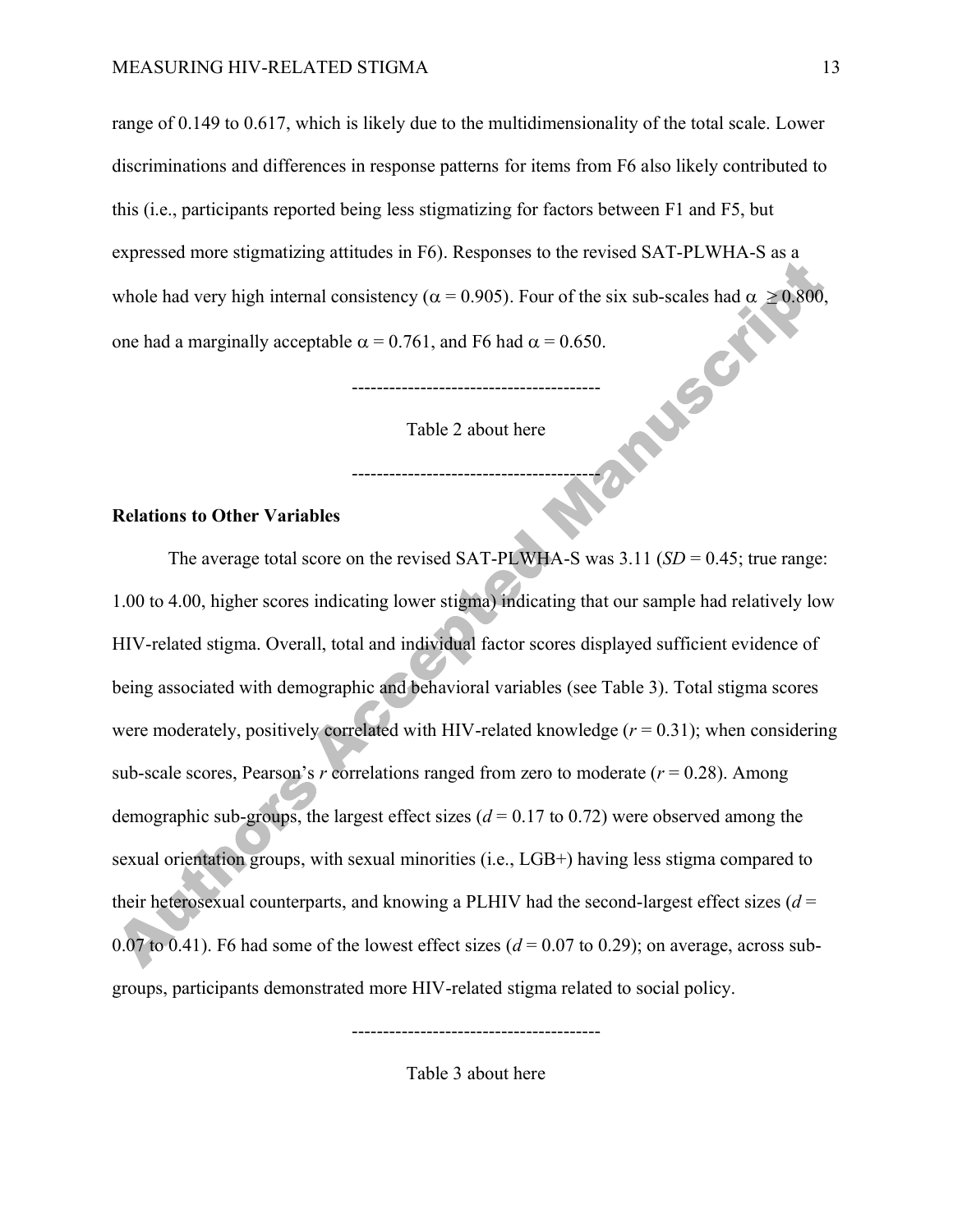range of 0.149 to 0.617, which is likely due to the multidimensionality of the total scale. Lower discriminations and differences in response patterns for items from F6 also likely contributed to this (i.e., participants reported being less stigmatizing for factors between F1 and F5, but expressed more stigmatizing attitudes in F6). Responses to the revised SAT-PLWHA-S as a whole had very high internal consistency ( $\alpha$  = 0.905). Four of the six sub-scales had  $\alpha$  > 0.800, one had a marginally acceptable  $\alpha = 0.761$ , and F6 had  $\alpha = 0.650$ . ----------------------------------------

Table 2 about here

----------------------------------------

# **Relations to Other Variables**

The average total score on the revised SAT-PLWHA-S was  $3.11$  (*SD* = 0.45; true range: 1.00 to 4.00, higher scores indicating lower stigma) indicating that our sample had relatively low HIV-related stigma. Overall, total and individual factor scores displayed sufficient evidence of being associated with demographic and behavioral variables (see Table 3). Total stigma scores were moderately, positively correlated with HIV-related knowledge  $(r = 0.31)$ ; when considering sub-scale scores, Pearson's  $r$  correlations ranged from zero to moderate ( $r = 0.28$ ). Among demographic sub-groups, the largest effect sizes  $(d = 0.17 \text{ to } 0.72)$  were observed among the sexual orientation groups, with sexual minorities (i.e., LGB+) having less stigma compared to their heterosexual counterparts, and knowing a PLHIV had the second-largest effect sizes  $(d =$ 0.07 to 0.41). F6 had some of the lowest effect sizes  $(d = 0.07$  to 0.29); on average, across subgroups, participants demonstrated more HIV-related stigma related to social policy.

Table 3 about here

----------------------------------------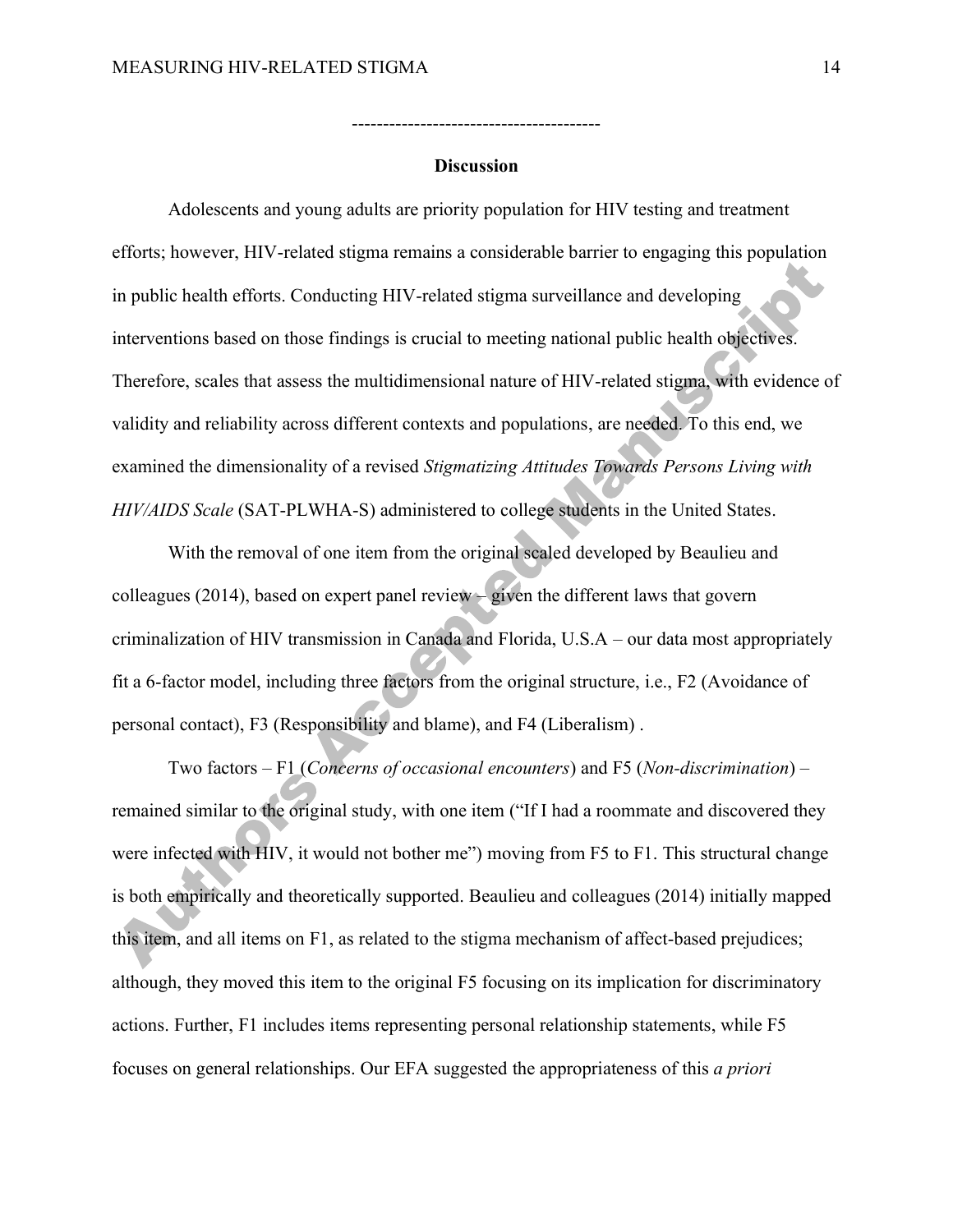### **Discussion**

----------------------------------------

Adolescents and young adults are priority population for HIV testing and treatment efforts; however, HIV-related stigma remains a considerable barrier to engaging this population in public health efforts. Conducting HIV-related stigma surveillance and developing interventions based on those findings is crucial to meeting national public health objectives. Therefore, scales that assess the multidimensional nature of HIV-related stigma, with evidence of validity and reliability across different contexts and populations, are needed. To this end, we examined the dimensionality of a revised *Stigmatizing Attitudes Towards Persons Living with HIV/AIDS Scale* (SAT-PLWHA-S) administered to college students in the United States.

With the removal of one item from the original scaled developed by Beaulieu and colleagues (2014), based on expert panel review – given the different laws that govern criminalization of HIV transmission in Canada and Florida, U.S.A – our data most appropriately fit a 6-factor model, including three factors from the original structure, i.e., F2 (Avoidance of personal contact), F3 (Responsibility and blame), and F4 (Liberalism) .

Two factors – F1 (*Concerns of occasional encounters*) and F5 (*Non-discrimination*) – remained similar to the original study, with one item ("If I had a roommate and discovered they were infected with HIV, it would not bother me") moving from F5 to F1. This structural change is both empirically and theoretically supported. Beaulieu and colleagues (2014) initially mapped this item, and all items on F1, as related to the stigma mechanism of affect-based prejudices; although, they moved this item to the original F5 focusing on its implication for discriminatory actions. Further, F1 includes items representing personal relationship statements, while F5 focuses on general relationships. Our EFA suggested the appropriateness of this *a priori*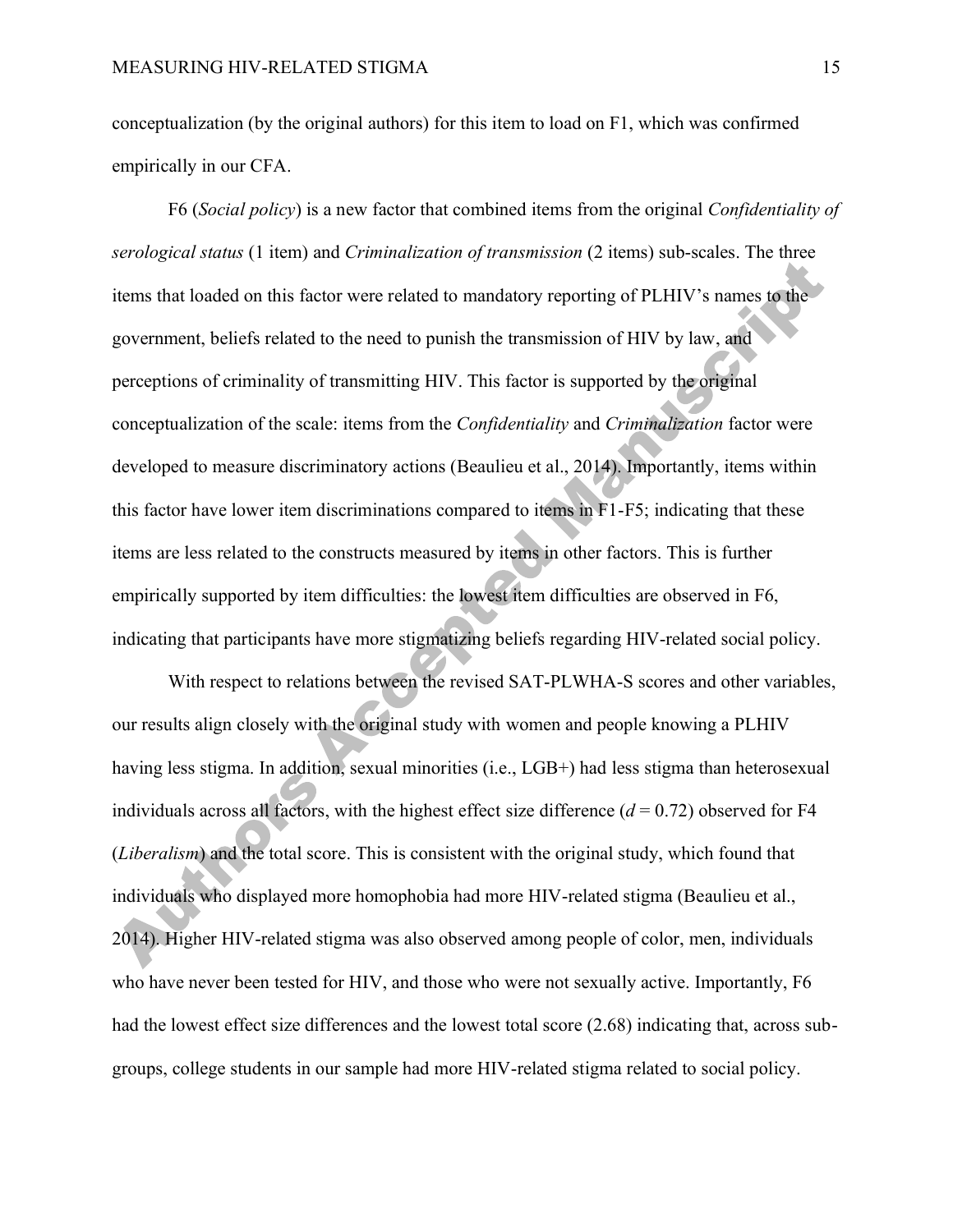conceptualization (by the original authors) for this item to load on F1, which was confirmed empirically in our CFA.

F6 (*Social policy*) is a new factor that combined items from the original *Confidentiality of serological status* (1 item) and *Criminalization of transmission* (2 items) sub-scales. The three items that loaded on this factor were related to mandatory reporting of PLHIV's names to the government, beliefs related to the need to punish the transmission of HIV by law, and perceptions of criminality of transmitting HIV. This factor is supported by the original conceptualization of the scale: items from the *Confidentiality* and *Criminalization* factor were developed to measure discriminatory actions (Beaulieu et al., 2014). Importantly, items within this factor have lower item discriminations compared to items in F1-F5; indicating that these items are less related to the constructs measured by items in other factors. This is further empirically supported by item difficulties: the lowest item difficulties are observed in F6, indicating that participants have more stigmatizing beliefs regarding HIV-related social policy.

With respect to relations between the revised SAT-PLWHA-S scores and other variables, our results align closely with the original study with women and people knowing a PLHIV having less stigma. In addition, sexual minorities (i.e., LGB+) had less stigma than heterosexual individuals across all factors, with the highest effect size difference  $(d = 0.72)$  observed for F4 (*Liberalism*) and the total score. This is consistent with the original study, which found that individuals who displayed more homophobia had more HIV-related stigma (Beaulieu et al., 2014). Higher HIV-related stigma was also observed among people of color, men, individuals who have never been tested for HIV, and those who were not sexually active. Importantly, F6 had the lowest effect size differences and the lowest total score (2.68) indicating that, across subgroups, college students in our sample had more HIV-related stigma related to social policy.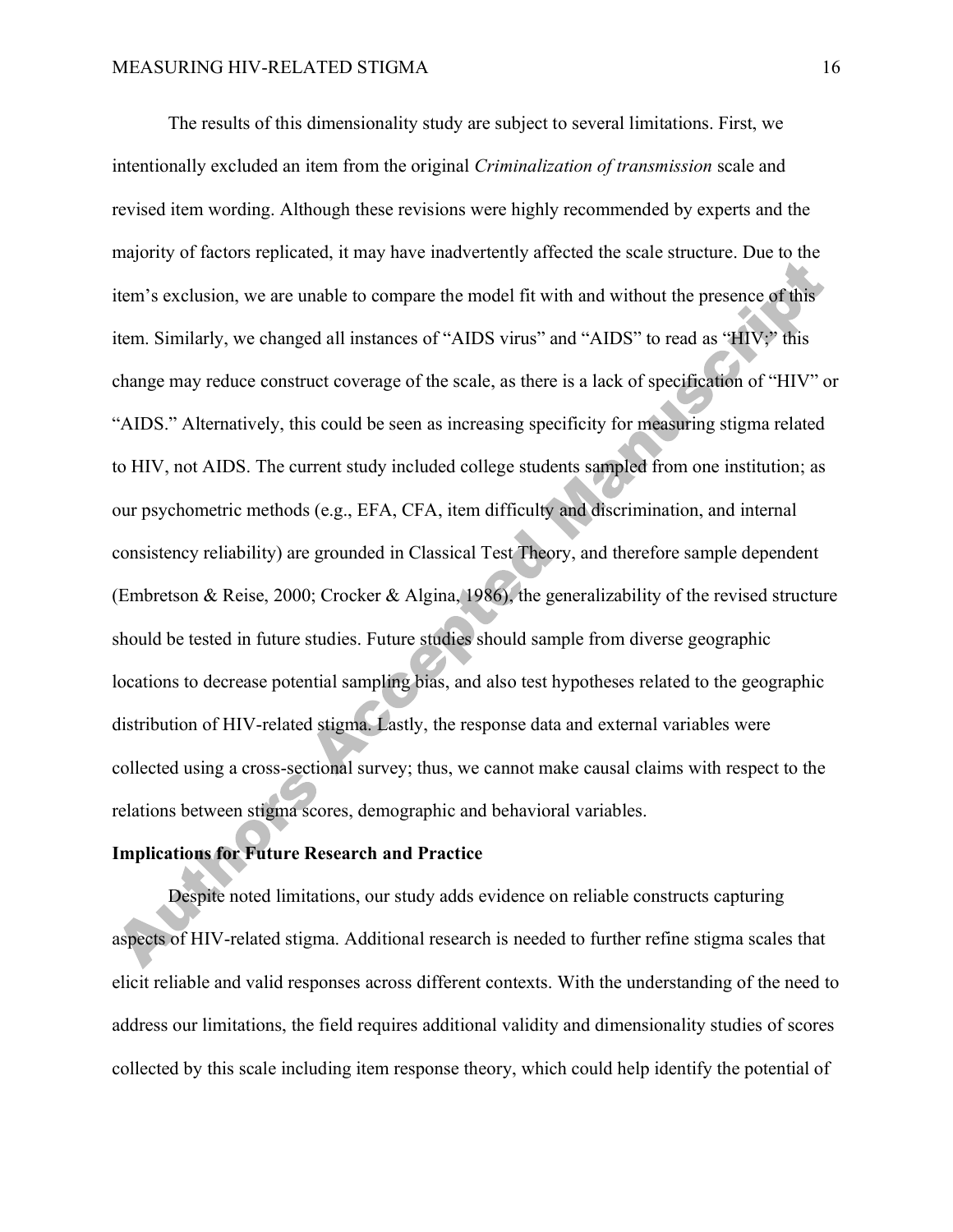The results of this dimensionality study are subject to several limitations. First, we intentionally excluded an item from the original *Criminalization of transmission* scale and revised item wording. Although these revisions were highly recommended by experts and the majority of factors replicated, it may have inadvertently affected the scale structure. Due to the item's exclusion, we are unable to compare the model fit with and without the presence of this item. Similarly, we changed all instances of "AIDS virus" and "AIDS" to read as "HIV;" this change may reduce construct coverage of the scale, as there is a lack of specification of "HIV" or "AIDS." Alternatively, this could be seen as increasing specificity for measuring stigma related to HIV, not AIDS. The current study included college students sampled from one institution; as our psychometric methods (e.g., EFA, CFA, item difficulty and discrimination, and internal consistency reliability) are grounded in Classical Test Theory, and therefore sample dependent (Embretson & Reise, 2000; Crocker & Algina, 1986), the generalizability of the revised structure should be tested in future studies. Future studies should sample from diverse geographic locations to decrease potential sampling bias, and also test hypotheses related to the geographic distribution of HIV-related stigma. Lastly, the response data and external variables were collected using a cross-sectional survey; thus, we cannot make causal claims with respect to the relations between stigma scores, demographic and behavioral variables.

# **Implications for Future Research and Practice**

Despite noted limitations, our study adds evidence on reliable constructs capturing aspects of HIV-related stigma. Additional research is needed to further refine stigma scales that elicit reliable and valid responses across different contexts. With the understanding of the need to address our limitations, the field requires additional validity and dimensionality studies of scores collected by this scale including item response theory, which could help identify the potential of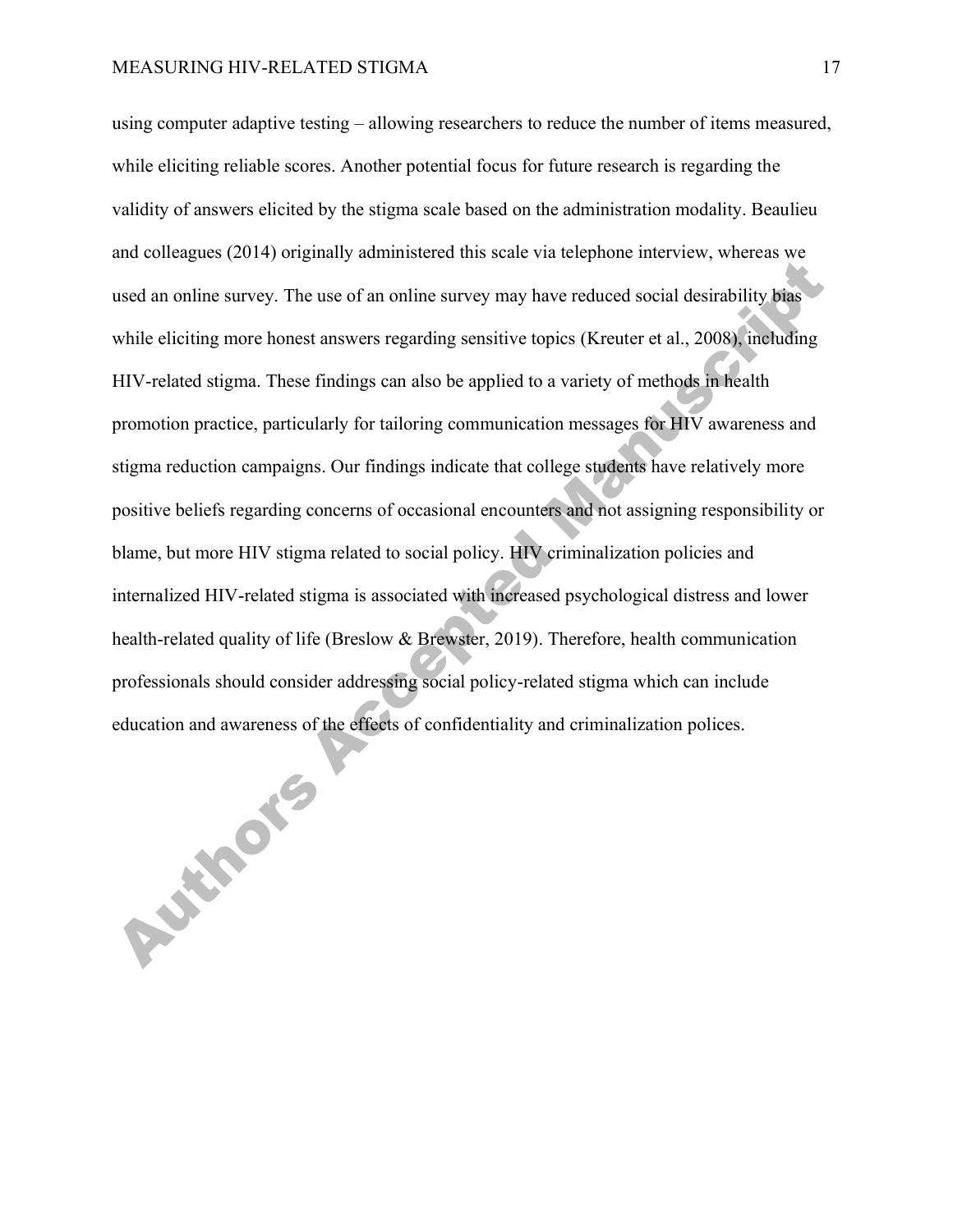using computer adaptive testing – allowing researchers to reduce the number of items measured, while eliciting reliable scores. Another potential focus for future research is regarding the validity of answers elicited by the stigma scale based on the administration modality. Beaulieu and colleagues (2014) originally administered this scale via telephone interview, whereas we used an online survey. The use of an online survey may have reduced social desirability bias while eliciting more honest answers regarding sensitive topics (Kreuter et al., 2008), including HIV-related stigma. These findings can also be applied to a variety of methods in health promotion practice, particularly for tailoring communication messages for HIV awareness and stigma reduction campaigns. Our findings indicate that college students have relatively more positive beliefs regarding concerns of occasional encounters and not assigning responsibility or blame, but more HIV stigma related to social policy. HIV criminalization policies and internalized HIV-related stigma is associated with increased psychological distress and lower health-related quality of life (Breslow & Brewster, 2019). Therefore, health communication professionals should consider addressing social policy-related stigma which can include education and awareness of the effects of confidentiality and criminalization polices.

**PASSING 55**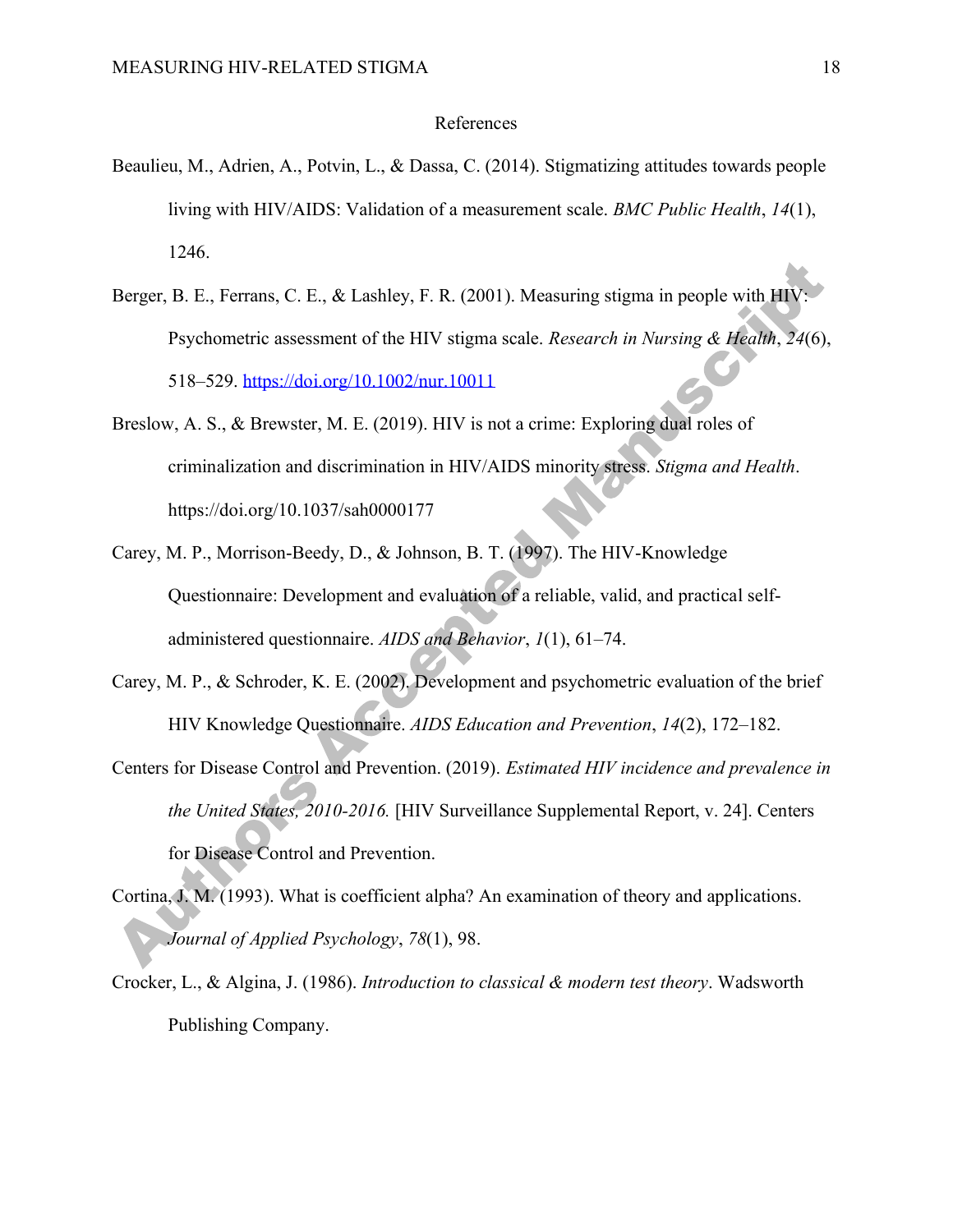#### References

- Beaulieu, M., Adrien, A., Potvin, L., & Dassa, C. (2014). Stigmatizing attitudes towards people living with HIV/AIDS: Validation of a measurement scale. *BMC Public Health*, *14*(1), 1246.
- Berger, B. E., Ferrans, C. E., & Lashley, F. R. (2001). Measuring stigma in people with HIV: Psychometric assessment of the HIV stigma scale. *Research in Nursing & Health*, *24*(6), 518–529. https://doi.org/10.1002/nur.10011
- Breslow, A. S., & Brewster, M. E. (2019). HIV is not a crime: Exploring dual roles of criminalization and discrimination in HIV/AIDS minority stress. *Stigma and Health*. https://doi.org/10.1037/sah0000177
- Carey, M. P., Morrison-Beedy, D., & Johnson, B. T. (1997). The HIV-Knowledge Questionnaire: Development and evaluation of a reliable, valid, and practical selfadministered questionnaire. *AIDS and Behavior*, *1*(1), 61–74.
- Carey, M. P., & Schroder, K. E. (2002). Development and psychometric evaluation of the brief HIV Knowledge Questionnaire. *AIDS Education and Prevention*, *14*(2), 172–182.
- Centers for Disease Control and Prevention. (2019). *Estimated HIV incidence and prevalence in the United States, 2010-2016.* [HIV Surveillance Supplemental Report, v. 24]. Centers for Disease Control and Prevention.
- Cortina, J. M. (1993). What is coefficient alpha? An examination of theory and applications. *Journal of Applied Psychology*, *78*(1), 98.
- Crocker, L., & Algina, J. (1986). *Introduction to classical & modern test theory*. Wadsworth Publishing Company.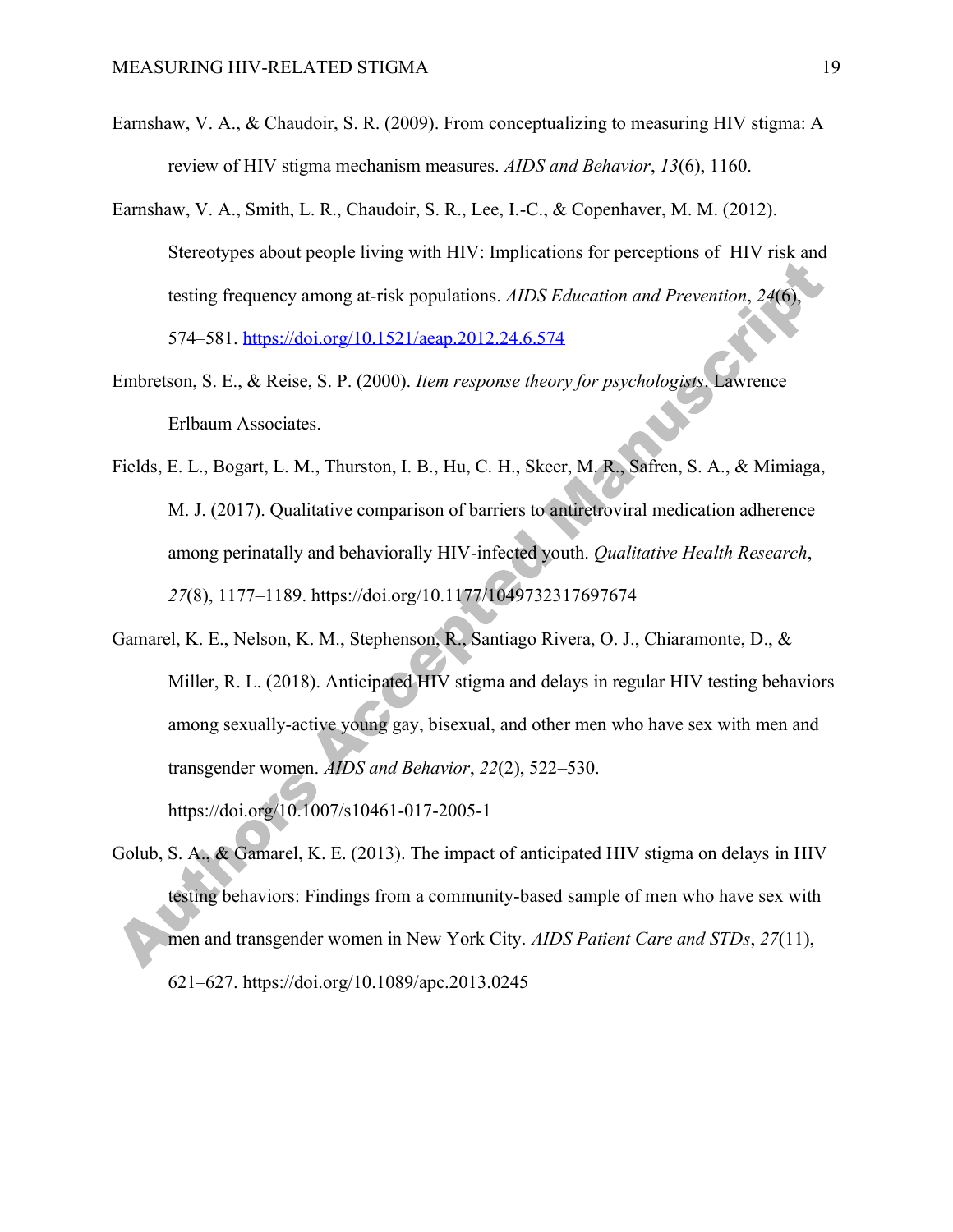- Earnshaw, V. A., & Chaudoir, S. R. (2009). From conceptualizing to measuring HIV stigma: A review of HIV stigma mechanism measures. *AIDS and Behavior*, *13*(6), 1160.
- Earnshaw, V. A., Smith, L. R., Chaudoir, S. R., Lee, I.-C., & Copenhaver, M. M. (2012). Stereotypes about people living with HIV: Implications for perceptions of HIV risk and testing frequency among at-risk populations. *AIDS Education and Prevention*, *24*(6), 574–581. https://doi.org/10.1521/aeap.2012.24.6.574
- Embretson, S. E., & Reise, S. P. (2000). *Item response theory for psychologists*. Lawrence Erlbaum Associates.
- Fields, E. L., Bogart, L. M., Thurston, I. B., Hu, C. H., Skeer, M. R., Safren, S. A., & Mimiaga, M. J. (2017). Qualitative comparison of barriers to antiretroviral medication adherence among perinatally and behaviorally HIV-infected youth. *Qualitative Health Research*, *27*(8), 1177–1189. https://doi.org/10.1177/1049732317697674
- Gamarel, K. E., Nelson, K. M., Stephenson, R., Santiago Rivera, O. J., Chiaramonte, D., & Miller, R. L. (2018). Anticipated HIV stigma and delays in regular HIV testing behaviors among sexually-active young gay, bisexual, and other men who have sex with men and transgender women. *AIDS and Behavior*, *22*(2), 522–530. https://doi.org/10.1007/s10461-017-2005-1
- Golub, S. A., & Gamarel, K. E. (2013). The impact of anticipated HIV stigma on delays in HIV testing behaviors: Findings from a community-based sample of men who have sex with men and transgender women in New York City. *AIDS Patient Care and STDs*, *27*(11), 621–627. https://doi.org/10.1089/apc.2013.0245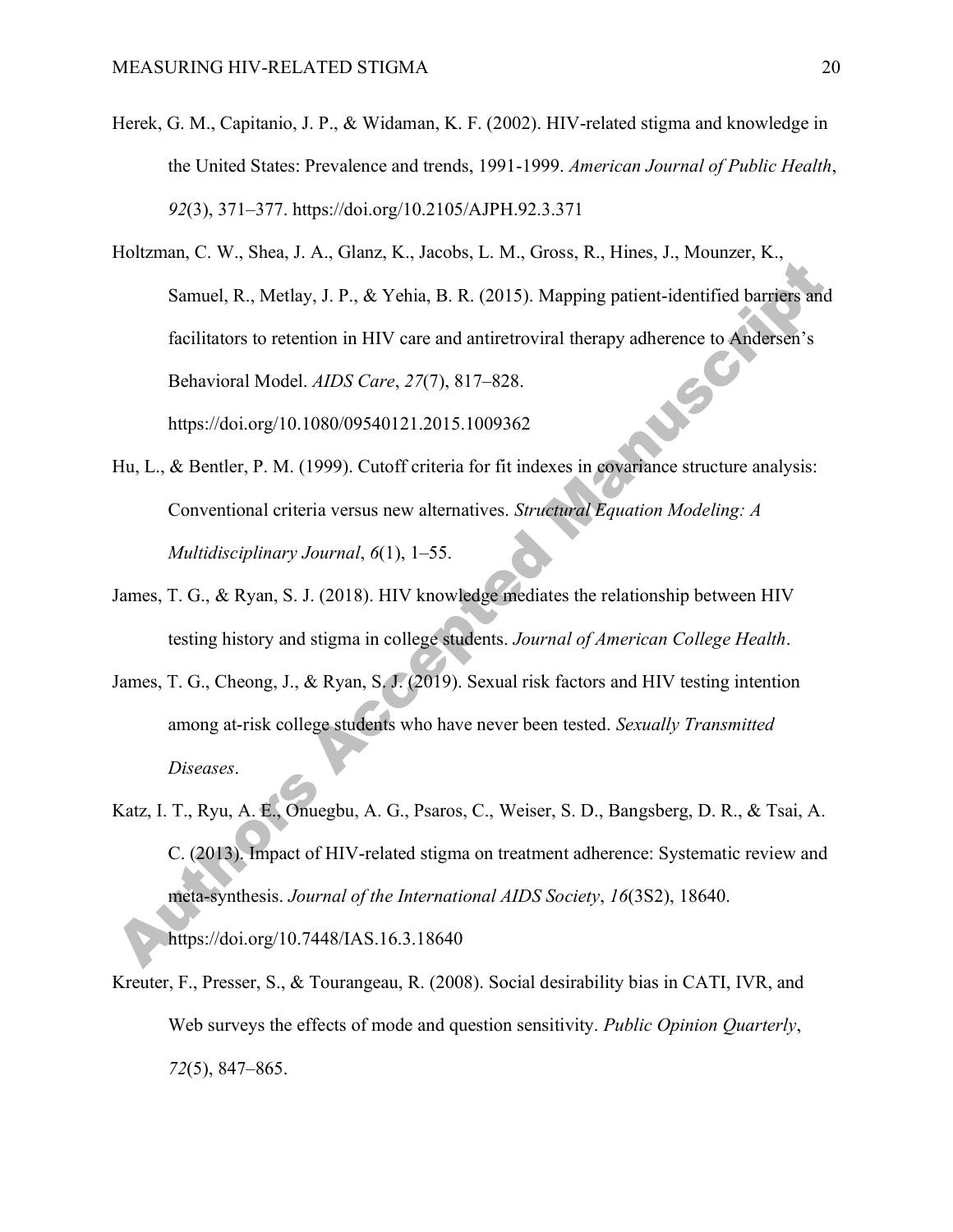- Herek, G. M., Capitanio, J. P., & Widaman, K. F. (2002). HIV-related stigma and knowledge in the United States: Prevalence and trends, 1991-1999. *American Journal of Public Health*, *92*(3), 371–377. https://doi.org/10.2105/AJPH.92.3.371
- Holtzman, C. W., Shea, J. A., Glanz, K., Jacobs, L. M., Gross, R., Hines, J., Mounzer, K., Samuel, R., Metlay, J. P., & Yehia, B. R. (2015). Mapping patient-identified barriers and facilitators to retention in HIV care and antiretroviral therapy adherence to Andersen's  $\mathcal{C}^{\mathcal{S}}$ Behavioral Model. *AIDS Care*, *27*(7), 817–828. https://doi.org/10.1080/09540121.2015.1009362
- Hu, L., & Bentler, P. M. (1999). Cutoff criteria for fit indexes in covariance structure analysis: Conventional criteria versus new alternatives. *Structural Equation Modeling: A Multidisciplinary Journal*, *6*(1), 1–55.
- James, T. G., & Ryan, S. J. (2018). HIV knowledge mediates the relationship between HIV testing history and stigma in college students. *Journal of American College Health*.
- James, T. G., Cheong, J., & Ryan, S. J. (2019). Sexual risk factors and HIV testing intention among at-risk college students who have never been tested. *Sexually Transmitted Diseases*.
- Katz, I. T., Ryu, A. E., Onuegbu, A. G., Psaros, C., Weiser, S. D., Bangsberg, D. R., & Tsai, A. C. (2013). Impact of HIV-related stigma on treatment adherence: Systematic review and meta-synthesis. *Journal of the International AIDS Society*, *16*(3S2), 18640. https://doi.org/10.7448/IAS.16.3.18640
- Kreuter, F., Presser, S., & Tourangeau, R. (2008). Social desirability bias in CATI, IVR, and Web surveys the effects of mode and question sensitivity. *Public Opinion Quarterly*, *72*(5), 847–865.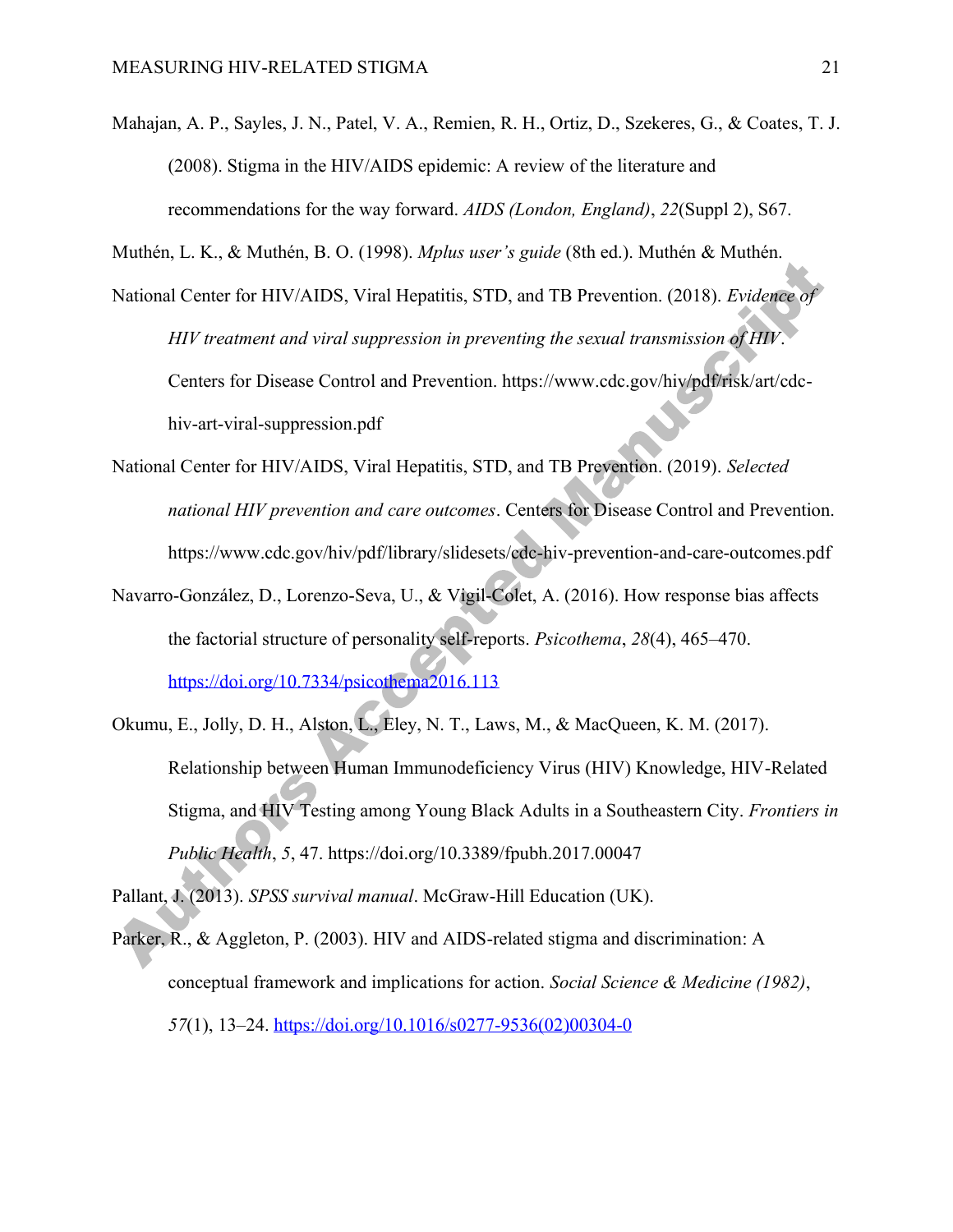Mahajan, A. P., Sayles, J. N., Patel, V. A., Remien, R. H., Ortiz, D., Szekeres, G., & Coates, T. J. (2008). Stigma in the HIV/AIDS epidemic: A review of the literature and recommendations for the way forward. *AIDS (London, England)*, *22*(Suppl 2), S67.

Muthén, L. K., & Muthén, B. O. (1998). *Mplus user's guide* (8th ed.). Muthén & Muthén.

- National Center for HIV/AIDS, Viral Hepatitis, STD, and TB Prevention. (2018). *Evidence of HIV treatment and viral suppression in preventing the sexual transmission of HIV*. Centers for Disease Control and Prevention. https://www.cdc.gov/hiv/pdf/risk/art/cdchiv-art-viral-suppression.pdf
- National Center for HIV/AIDS, Viral Hepatitis, STD, and TB Prevention. (2019). *Selected national HIV prevention and care outcomes*. Centers for Disease Control and Prevention. https://www.cdc.gov/hiv/pdf/library/slidesets/cdc-hiv-prevention-and-care-outcomes.pdf
- Navarro-González, D., Lorenzo-Seva, U., & Vigil-Colet, A. (2016). How response bias affects the factorial structure of personality self-reports. *Psicothema*, *28*(4), 465–470. https://doi.org/10.7334/psicothema2016.113
- Okumu, E., Jolly, D. H., Alston, L., Eley, N. T., Laws, M., & MacQueen, K. M. (2017). Relationship between Human Immunodeficiency Virus (HIV) Knowledge, HIV-Related Stigma, and HIV Testing among Young Black Adults in a Southeastern City. *Frontiers in Public Health*, *5*, 47. https://doi.org/10.3389/fpubh.2017.00047

Pallant, J. (2013). *SPSS survival manual*. McGraw-Hill Education (UK).

Parker, R., & Aggleton, P. (2003). HIV and AIDS-related stigma and discrimination: A conceptual framework and implications for action. *Social Science & Medicine (1982)*, *57*(1), 13–24. https://doi.org/10.1016/s0277-9536(02)00304-0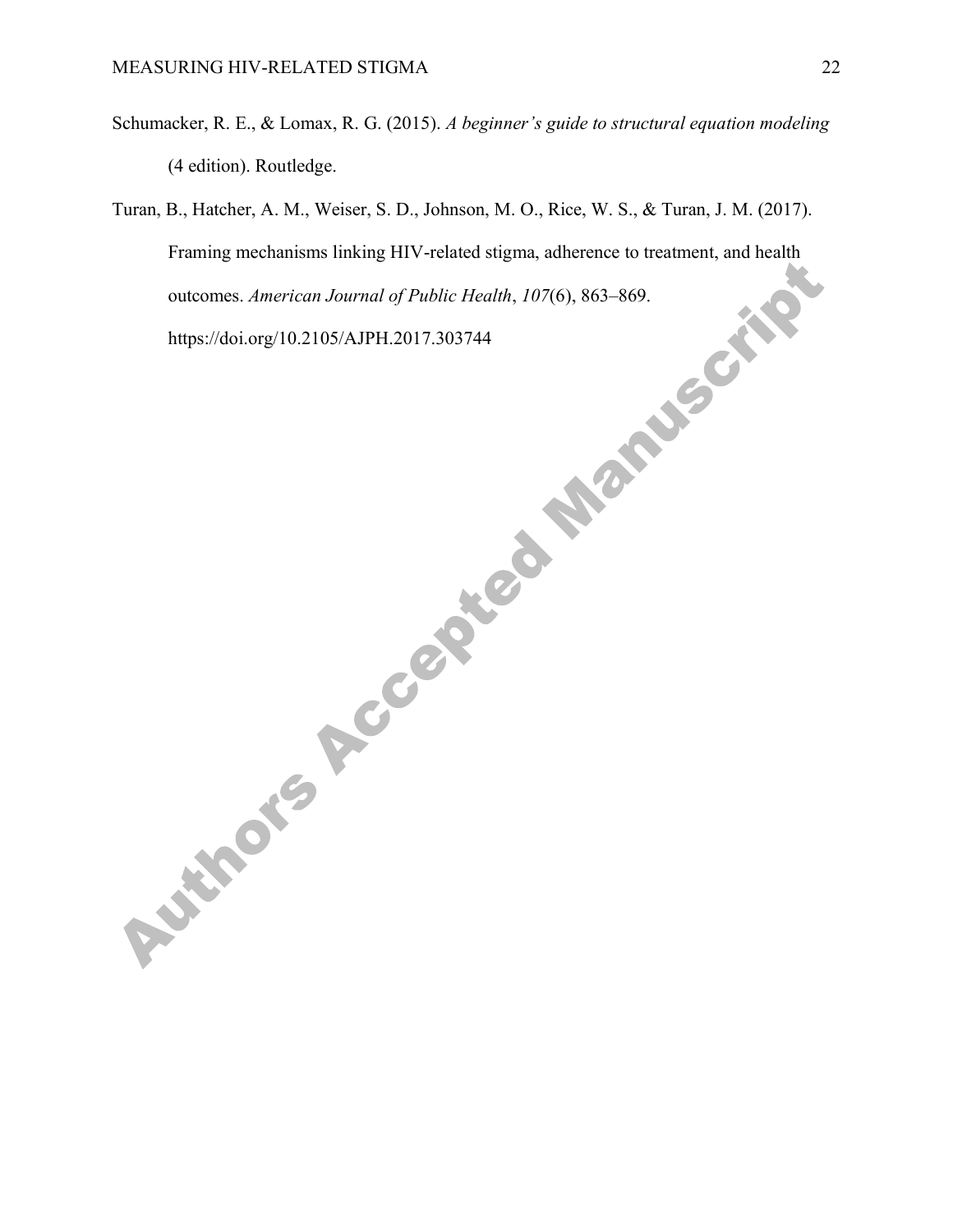- Schumacker, R. E., & Lomax, R. G. (2015). *A beginner's guide to structural equation modeling* (4 edition). Routledge.
- Turan, B., Hatcher, A. M., Weiser, S. D., Johnson, M. O., Rice, W. S., & Turan, J. M. (2017). Framing mechanisms linking HIV-related stigma, adherence to treatment, and health outcomes. *American Journal of Public Health*, *107*(6), 863–869.

https://doi.org/10.2105/AJPH.2017.303744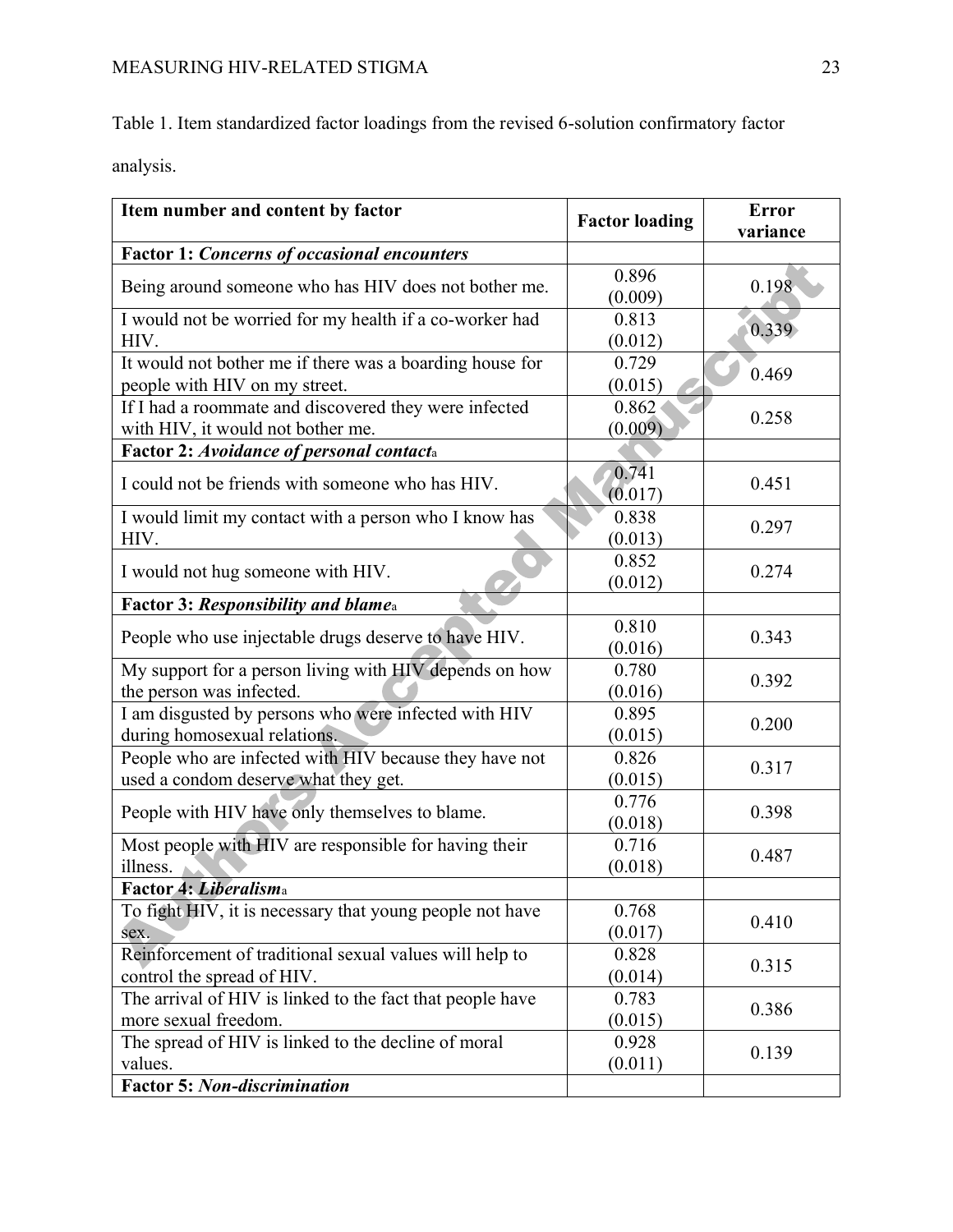Table 1. Item standardized factor loadings from the revised 6-solution confirmatory factor

analysis.

| Item number and content by factor                                                              | <b>Factor loading</b> | <b>Error</b><br>variance |
|------------------------------------------------------------------------------------------------|-----------------------|--------------------------|
| <b>Factor 1: Concerns of occasional encounters</b>                                             |                       |                          |
| Being around someone who has HIV does not bother me.                                           | 0.896<br>(0.009)      | 0.198                    |
| I would not be worried for my health if a co-worker had<br>HIV.                                | 0.813<br>(0.012)      | 0.339                    |
| It would not bother me if there was a boarding house for<br>people with HIV on my street.      | 0.729<br>(0.015)      | 0.469                    |
| If I had a roommate and discovered they were infected<br>with HIV, it would not bother me.     | 0.862<br>(0.009)      | 0.258                    |
| Factor 2: Avoidance of personal contacta                                                       |                       |                          |
| I could not be friends with someone who has HIV.                                               | 0.741<br>(0.017)      | 0.451                    |
| I would limit my contact with a person who I know has<br>HIV.                                  | 0.838<br>(0.013)      | 0.297                    |
| I would not hug someone with HIV.                                                              | 0.852<br>(0.012)      | 0.274                    |
| Factor 3: Responsibility and blamea                                                            |                       |                          |
| People who use injectable drugs deserve to have HIV.                                           | 0.810<br>(0.016)      | 0.343                    |
| My support for a person living with HIV depends on how<br>the person was infected.             | 0.780<br>(0.016)      | 0.392                    |
| I am disgusted by persons who were infected with HIV<br>during homosexual relations.           | 0.895<br>(0.015)      | 0.200                    |
| People who are infected with HIV because they have not<br>used a condom deserve what they get. | 0.826<br>(0.015)      | 0.317                    |
| People with HIV have only themselves to blame.                                                 | 0.776<br>(0.018)      | 0.398                    |
| Most people with HIV are responsible for having their<br>illness.                              | 0.716<br>(0.018)      | 0.487                    |
| Factor 4: Liberalisma                                                                          |                       |                          |
| To fight HIV, it is necessary that young people not have<br>sex.                               | 0.768<br>(0.017)      | 0.410                    |
| Reinforcement of traditional sexual values will help to<br>control the spread of HIV.          | 0.828<br>(0.014)      | 0.315                    |
| The arrival of HIV is linked to the fact that people have<br>more sexual freedom.              | 0.783<br>(0.015)      | 0.386                    |
| The spread of HIV is linked to the decline of moral<br>values.                                 | 0.928<br>(0.011)      | 0.139                    |
| <b>Factor 5: Non-discrimination</b>                                                            |                       |                          |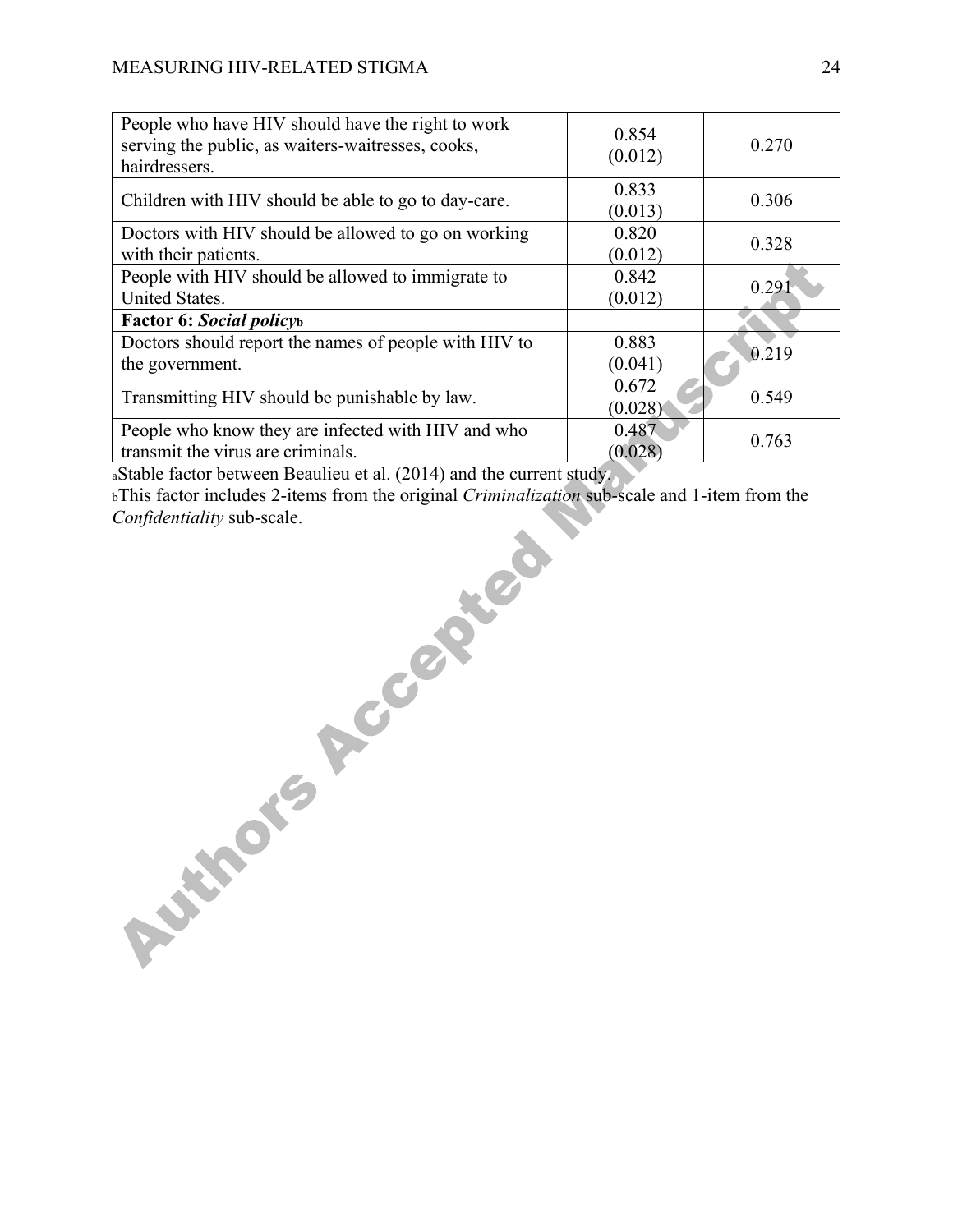| People who have HIV should have the right to work<br>serving the public, as waiters-waitresses, cooks,<br>hairdressers. | 0.854<br>(0.012) | 0.270 |
|-------------------------------------------------------------------------------------------------------------------------|------------------|-------|
| Children with HIV should be able to go to day-care.                                                                     | 0.833<br>(0.013) | 0.306 |
| Doctors with HIV should be allowed to go on working<br>with their patients.                                             | 0.820<br>(0.012) | 0.328 |
| People with HIV should be allowed to immigrate to<br>United States.                                                     | 0.842<br>(0.012) | 0.291 |
| <b>Factor 6: Social policyb</b>                                                                                         |                  |       |
| Doctors should report the names of people with HIV to<br>the government.                                                | 0.883<br>(0.041) | 0.219 |
| Transmitting HIV should be punishable by law.                                                                           | 0.672<br>(0.028) | 0.549 |
| People who know they are infected with HIV and who<br>transmit the virus are criminals.                                 | 0.487<br>(0.028) | 0.763 |

aStable factor between Beaulieu et al. (2014) and the current study.

bThis factor includes 2-items from the original *Criminalization* sub-scale and 1-item from the *Confidentiality* sub-scale.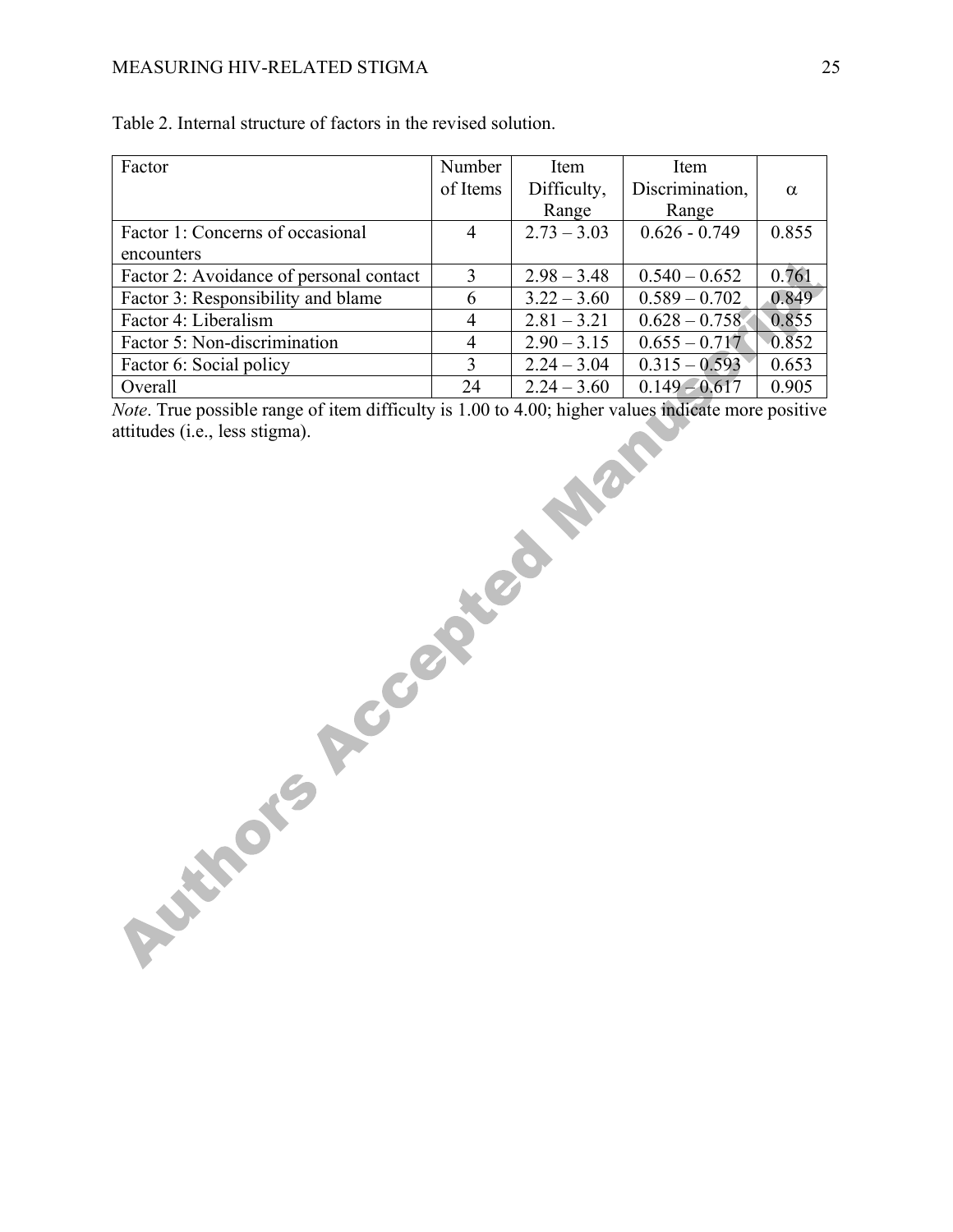# MEASURING HIV-RELATED STIGMA 25

| Factor                                  | Number   | Item          | Item            |          |
|-----------------------------------------|----------|---------------|-----------------|----------|
|                                         | of Items | Difficulty,   | Discrimination, | $\alpha$ |
|                                         |          | Range         | Range           |          |
| Factor 1: Concerns of occasional        | 4        | $2.73 - 3.03$ | $0.626 - 0.749$ | 0.855    |
| encounters                              |          |               |                 |          |
| Factor 2: Avoidance of personal contact | 3        | $2.98 - 3.48$ | $0.540 - 0.652$ | 0.761    |
| Factor 3: Responsibility and blame      | 6        | $3.22 - 3.60$ | $0.589 - 0.702$ | 0.849    |
| Factor 4: Liberalism                    | 4        | $2.81 - 3.21$ | $0.628 - 0.758$ | 0.855    |
| Factor 5: Non-discrimination            | 4        | $2.90 - 3.15$ | $0.655 - 0.717$ | 0.852    |
| Factor 6: Social policy                 | 3        | $2.24 - 3.04$ | $0.315 - 0.593$ | 0.653    |
| Overall                                 | 24       | $2.24 - 3.60$ | $0.149 - 0.617$ | 0.905    |

| Table 2. Internal structure of factors in the revised solution. |  |
|-----------------------------------------------------------------|--|
|-----------------------------------------------------------------|--|

*Note*. True possible range of item difficulty is 1.00 to 4.00; higher values indicate more positive attitudes (i.e., less stigma).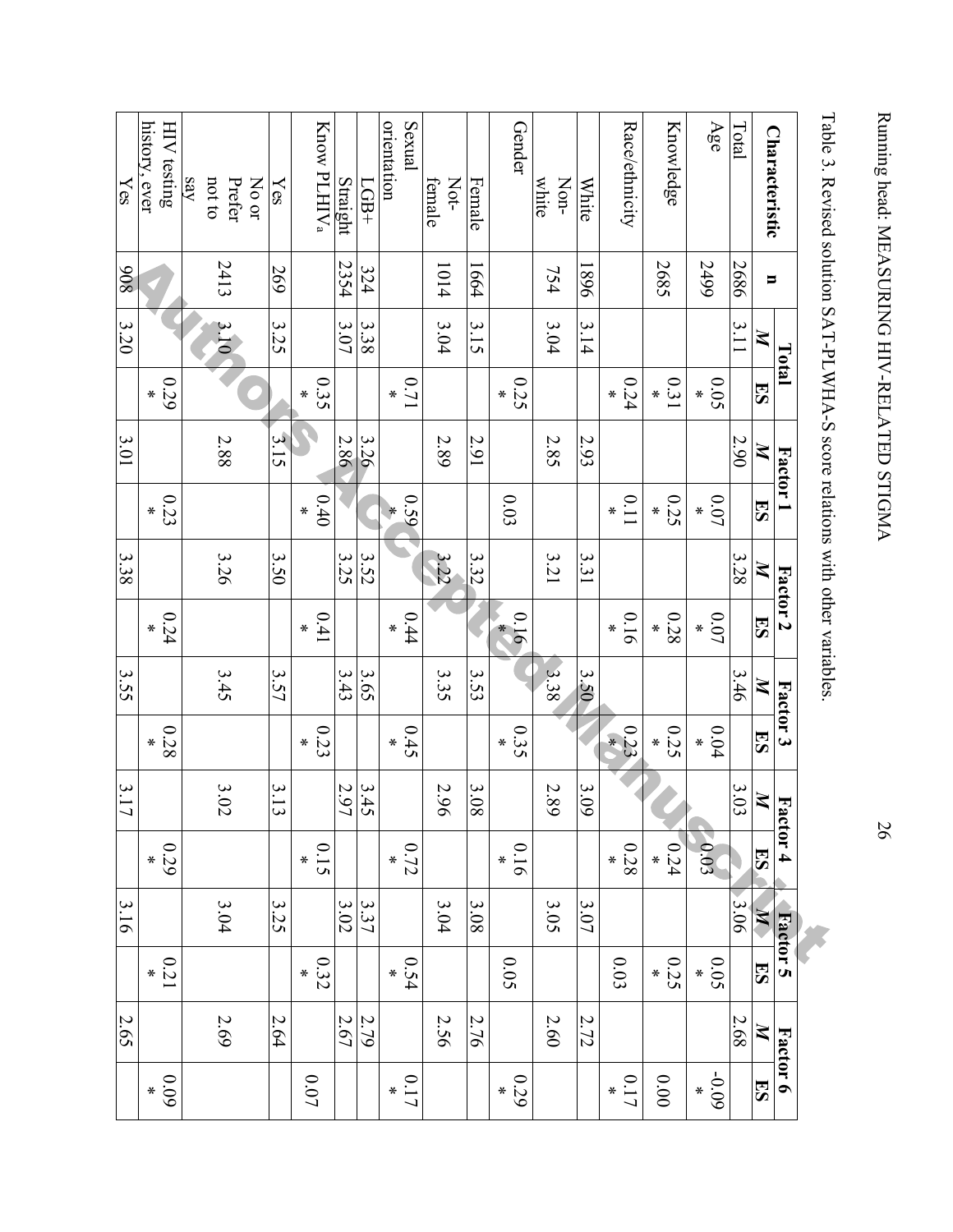|                         |                | Total |                 | Factor 1 |                 |      | Factor 2  | Factor 3     |                      | Factor 4            |                        | <b>Factor 5</b> |                |      | Factor 6          |
|-------------------------|----------------|-------|-----------------|----------|-----------------|------|-----------|--------------|----------------------|---------------------|------------------------|-----------------|----------------|------|-------------------|
| <b>Characteristic</b>   | $\blacksquare$ | Z     | <b>ES</b>       | Z        | ES              | Z    | 53        | $\mathbb{Z}$ | 53                   | $\boldsymbol{z}$    | ES                     | $\mathbb{X}$    | <b>ES</b>      | Z    | ES                |
| Total                   | 2686           | 3.11  |                 | 2.90     |                 | 3.28 |           | 3.46         |                      | 3.03                |                        | 3.06            |                | 2.68 |                   |
| Age                     | 2499           |       | 0.05<br>∗       |          | 0.07<br>$\ast$  |      | 0.07<br>∗ |              | 0.04<br>$\ast$       |                     | 0.03                   |                 | 0.05           |      | $-0.09$<br>$\ast$ |
| Knowledge               | 2685           |       | 0.31<br>∗       |          | 0.25<br>∗       |      | 0.28<br>∗ |              | 0.25<br>$\pmb{\ast}$ |                     | 0.24<br>$\ast$         |                 | 0.25<br>$\ast$ |      | $0.00\,$          |
| Race/ethnicity          |                |       | 0.24<br>$\star$ |          | 0.11<br>∗       |      | 0.16<br>∗ |              | 0.23                 |                     | $0.28\,$<br>$\ast$     |                 | 0.03           |      | 0.17              |
| <b>White</b>            | 968            | 3.14  |                 | 2.93     |                 | 3.31 |           | 3.50         |                      | 3.09                |                        | 3.07            |                | 2.72 |                   |
| Non-<br>white           | 754            | 3.04  |                 | 2.85     |                 | 3.21 |           | 3.38         |                      | 2.89                |                        | 3.05            |                | 2.60 |                   |
| Gender                  |                |       | 0.25<br>$\ast$  |          | 0.03            |      | 0.16<br>∗ |              | 0.35<br>∗            |                     | 0.16<br>$\ast$         |                 | 0.05           |      | 0.29<br>$\star$   |
| Female                  | 1664           | 3.15  |                 | 2.91     |                 | 3.32 |           | 3.53         |                      | 3.08                |                        | 3.08            |                | 2.76 |                   |
| Not-<br>female          | 1014           | 3.04  |                 | 2.89     |                 | 3.22 |           | 3.35         |                      | 2.96                |                        | 3.04            |                | 2.56 |                   |
| orientation<br>Sexual   |                |       | 1/10<br>$\star$ |          | 0.59            |      | 0.44<br>∗ |              | 0.45<br>∗            |                     | 0.72<br>$\ast$         |                 | 0.54           |      | 0.17              |
| $LGB+$                  | 324            | 3.38  |                 | 3.26     |                 | 3.52 |           | 3.65         |                      |                     |                        | 3.37            |                | 2.79 |                   |
| Straight                | 2354           | 3.07  |                 | 2.86     |                 | 3.25 |           | 3.43         |                      | $\frac{3.45}{2.97}$ |                        | 3.02            |                | 2.67 |                   |
| Know PLHIV <sub>a</sub> |                |       | 0.35<br>$\ast$  |          | 0.40<br>$\ast$  |      | 0.41<br>∗ |              | 0.23<br>$\ast$       |                     | 0.15<br>$\pmb{\times}$ |                 | 0.32<br>$\ast$ |      | 0.07              |
| $\chi_{\rm{es}}$        | 269            | 3.25  |                 | 3.15     |                 | 3.50 |           | 3.57         |                      | 3.13                |                        | 3.25            |                | 2.64 |                   |
| $_{\rm NO~OT}$          |                |       |                 |          |                 |      |           |              |                      |                     |                        |                 |                |      |                   |
| Prefer                  | 2413           | 3.10  |                 | $2.88$   |                 | 3.26 |           | 3.45         |                      | 3.02                |                        | 3.04            |                | 2.69 |                   |
| say<br>not to           |                |       |                 |          |                 |      |           |              |                      |                     |                        |                 |                |      |                   |
| HIV testing             |                |       | 0.29<br>∗       |          | 0.23<br>$\star$ |      | 0.24<br>∗ |              | 0.28<br>∗            |                     | 670<br>$\ast$          |                 | 0.21           |      | 60.09<br>$\star$  |
| history, ever           |                |       |                 |          |                 |      |           |              |                      |                     |                        |                 |                |      |                   |
| Yes                     | 806            | 3.20  |                 | 3.01     |                 | 3.38 |           | 3.55         |                      | 3.17                |                        | 3.16            |                | 2.65 |                   |

Table 3. Revised solution SAT-PLWHA-S score relations with other variables. Table 3. Revised solution SAT-PLWHA-S score relations with other variables.

26

Running head: MEASURING HIV-RELATED STIGMA Running head: MEASURING HIV-RELATED STIGMA